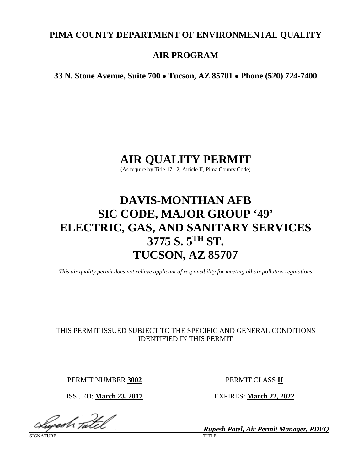# **PIMA COUNTY DEPARTMENT OF ENVIRONMENTAL QUALITY**

# **AIR PROGRAM**

**33 N. Stone Avenue, Suite 700** • **Tucson, AZ 85701** • **Phone (520) 724-7400**

# **AIR QUALITY PERMIT**

(As require by Title 17.12, Article II, Pima County Code)

# **DAVIS-MONTHAN AFB SIC CODE, MAJOR GROUP '49' ELECTRIC, GAS, AND SANITARY SERVICES 3775 S. 5TH ST. TUCSON, AZ 85707**

*This air quality permit does not relieve applicant of responsibility for meeting all air pollution regulations*

# THIS PERMIT ISSUED SUBJECT TO THE SPECIFIC AND GENERAL CONDITIONS IDENTIFIED IN THIS PERMIT

PERMIT NUMBER **3002** PERMIT CLASS **II**

ISSUED: **March 23, 2017** EXPIRES: **March 22, 2022**

ugedh <sub>Taltel</sub>l

SIGNATURE TITLE THE SERVICE OF THE SERVICE OF THE SERVICE OF THE SERVICE OF THE SERVICE OF THE SERVICE OF THE S

*Rupesh Patel, Air Permit Manager, PDEQ*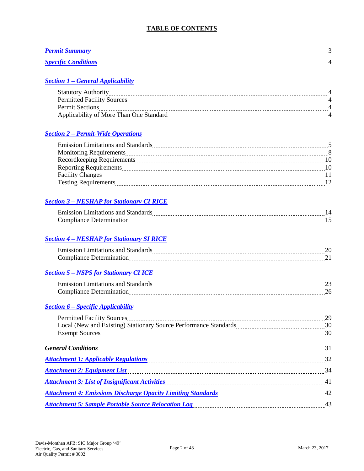# **TABLE OF CONTENTS**

| <b>Permit Summary</b>           | . |
|---------------------------------|---|
| <b>Specific Conditions</b><br>. |   |

# *Section 1 – [General Applicability](#page-3-0)*

| <b>Statutory Authority</b>              |  |
|-----------------------------------------|--|
| <b>Permitted Facility Sources</b>       |  |
| <b>Permit Sections</b>                  |  |
| Applicability of More Than One Standard |  |
|                                         |  |

#### *Section 2 – [Permit-Wide Operations](#page-4-0)*

| <b>Emission Limitations and Standards</b> |    |
|-------------------------------------------|----|
| Monitoring Requirements                   |    |
| <b>Recordkeeping Requirements</b>         |    |
|                                           | 10 |
| <b>Facility Changes</b>                   |    |
| <b>Testing Requirements</b>               |    |

# *Section 3 – [NESHAP for Stationary CI RICE](#page-13-0)*

| . I J<br>.<br>---- |  |
|--------------------|--|
| ---------          |  |

# *Section 4 – [NESHAP for Stationary SI RICE](#page-19-0)*

| ------ | ---- |
|--------|------|
| .      | .    |

# *Section 5 – [NSPS for Stationary CI ICE](#page-22-0)*

| --- |  |
|-----|--|
|     |  |

#### *Section 6 – [Specific Applicability](#page-28-0)*

| Permitted Facility Sources 29                                                                                                    |  |
|----------------------------------------------------------------------------------------------------------------------------------|--|
|                                                                                                                                  |  |
|                                                                                                                                  |  |
| General Conditions 21 million contract the contract of the contract of the contract of the conditions 31                         |  |
| Attachment 1: Applicable Regulations (2008) 32                                                                                   |  |
| Attachment 2: Equipment List 1994 and the University of the University of the University of the University of the U              |  |
| Attachment 3: List of Insignificant Activities <b>Example 2018</b> 41                                                            |  |
| Attachment 4: Emissions Discharge Opacity Limiting Standards Manuel Attachment 4: Emissions Discharge Opacity Limiting Standards |  |
| Attachment 5: Sample Portable Source Relocation Log Manuel Attachment 5: Sample Portable Source Relocation Log                   |  |
|                                                                                                                                  |  |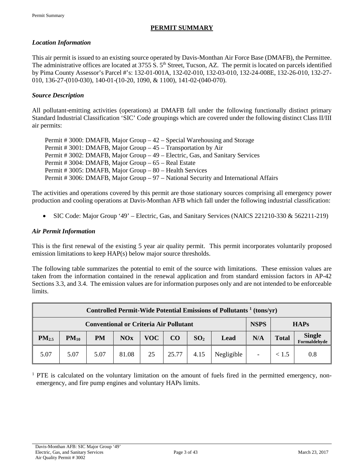# **PERMIT SUMMARY**

### <span id="page-2-0"></span>*Location Information*

This air permit is issued to an existing source operated by Davis-Monthan Air Force Base (DMAFB), the Permittee. The administrative offices are located at 3755 S. 5<sup>th</sup> Street, Tucson, AZ. The permit is located on parcels identified by Pima County Assessor's Parcel #'s: 132-01-001A, 132-02-010, 132-03-010, 132-24-008E, 132-26-010, 132-27- 010, 136-27-(010-030), 140-01-(10-20, 1090, & 1100), 141-02-(040-070).

#### *Source Description*

All pollutant-emitting activities (operations) at DMAFB fall under the following functionally distinct primary Standard Industrial Classification 'SIC' Code groupings which are covered under the following distinct Class II/III air permits:

| Permit # 3000: DMAFB, Major Group $-42$ – Special Warehousing and Storage            |
|--------------------------------------------------------------------------------------|
| Permit # 3001: DMAFB, Major Group – 45 – Transportation by Air                       |
| Permit # 3002: DMAFB, Major Group – 49 – Electric, Gas, and Sanitary Services        |
| Permit # 3004: DMAFB, Major Group – 65 – Real Estate                                 |
| Permit # 3005: DMAFB, Major Group – 80 – Health Services                             |
| Permit # 3006: DMAFB, Major Group – 97 – National Security and International Affairs |

The activities and operations covered by this permit are those stationary sources comprising all emergency power production and cooling operations at Davis-Monthan AFB which fall under the following industrial classification:

• SIC Code: Major Group '49' – Electric, Gas, and Sanitary Services (NAICS 221210-330 & 562211-219)

#### *Air Permit Information*

This is the first renewal of the existing 5 year air quality permit. This permit incorporates voluntarily proposed emission limitations to keep HAP(s) below major source thresholds.

The following table summarizes the potential to emit of the source with limitations. These emission values are taken from the information contained in the renewal application and from standard emission factors in AP-42 Sections 3.3, and 3.4. The emission values are for information purposes only and are not intended to be enforceable limits.

| Controlled Permit-Wide Potential Emissions of Pollutants <sup>1</sup> (tons/yr) |                                               |           |       |     |       |                 |            |                          |              |                        |
|---------------------------------------------------------------------------------|-----------------------------------------------|-----------|-------|-----|-------|-----------------|------------|--------------------------|--------------|------------------------|
|                                                                                 | <b>Conventional or Criteria Air Pollutant</b> |           |       |     |       | <b>NSPS</b>     |            | <b>HAPs</b>              |              |                        |
| PM <sub>2.5</sub>                                                               | $PM_{10}$                                     | <b>PM</b> | NOx   | VOC | CO    | SO <sub>2</sub> | Lead       | N/A                      | <b>Total</b> | Single<br>Formaldehyde |
| 5.07                                                                            | 5.07                                          | 5.07      | 81.08 | 25  | 25.77 | 4.15            | Negligible | $\overline{\phantom{a}}$ | < 1.5        | 0.8                    |

<sup>1</sup> PTE is calculated on the voluntary limitation on the amount of fuels fired in the permitted emergency, nonemergency, and fire pump engines and voluntary HAPs limits.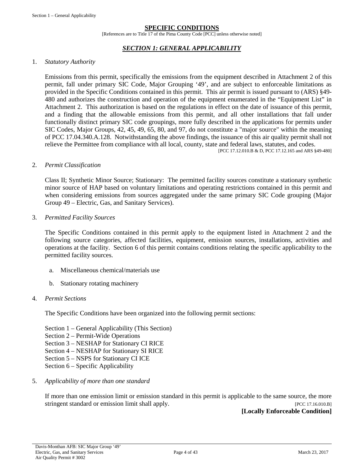#### **SPECIFIC CONDITIONS**

[References are to Title 17 of the Pima County Code [PCC] unless otherwise noted]

#### *SECTION 1: GENERAL APPLICABILITY*

#### <span id="page-3-0"></span>1. *Statutory Authority*

Emissions from this permit, specifically the emissions from the equipment described in Attachment 2 of this permit, fall under primary SIC Code, Major Grouping '49', and are subject to enforceable limitations as provided in the Specific Conditions contained in this permit. This air permit is issued pursuant to (ARS) §49- 480 and authorizes the construction and operation of the equipment enumerated in the "Equipment List" in Attachment 2. This authorization is based on the regulations in effect on the date of issuance of this permit, and a finding that the allowable emissions from this permit, and all other installations that fall under functionally distinct primary SIC code groupings, more fully described in the applications for permits under SIC Codes, Major Groups, 42, 45, 49, 65, 80, and 97, do not constitute a "major source" within the meaning of PCC 17.04.340.A.128. Notwithstanding the above findings, the issuance of this air quality permit shall not relieve the Permittee from compliance with all local, county, state and federal laws, statutes, and codes. [PCC 17.12.010.B & D, PCC 17.12.165 and ARS §49-480]

#### 2. *Permit Classification*

Class II; Synthetic Minor Source; Stationary: The permitted facility sources constitute a stationary synthetic minor source of HAP based on voluntary limitations and operating restrictions contained in this permit and when considering emissions from sources aggregated under the same primary SIC Code grouping (Major Group 49 – Electric, Gas, and Sanitary Services).

#### 3. *Permitted Facility Sources*

The Specific Conditions contained in this permit apply to the equipment listed in Attachment 2 and the following source categories, affected facilities, equipment, emission sources, installations, activities and operations at the facility. Section 6 of this permit contains conditions relating the specific applicability to the permitted facility sources.

- a. Miscellaneous chemical/materials use
- b. Stationary rotating machinery

#### 4. *Permit Sections*

The Specific Conditions have been organized into the following permit sections:

- Section 1 General Applicability (This Section)
- Section 2 Permit-Wide Operations
- Section 3 NESHAP for Stationary CI RICE
- Section 4 NESHAP for Stationary SI RICE
- Section 5 NSPS for Stationary CI ICE
- Section 6 Specific Applicability

#### 5. *Applicability of more than one standard*

If more than one emission limit or emission standard in this permit is applicable to the same source, the more stringent standard or emission limit shall apply. [PCC 17.16.010.B]

#### **[Locally Enforceable Condition]**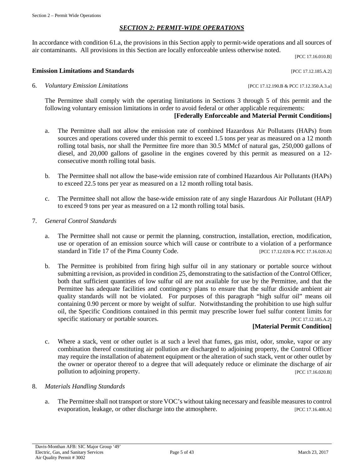#### *SECTION 2: PERMIT-WIDE OPERATIONS*

<span id="page-4-0"></span>In accordance with condition 61.a, the provisions in this Section apply to permit-wide operations and all sources of air contaminants. All provisions in this Section are locally enforceable unless otherwise noted.

[PCC 17.16.010.B]

#### **Emission Limitations and Standards** [PCC 17.12.185.A.2]

6. *Voluntary Emission Limitations* [PCC 17.12.190.B & PCC 17.12.350.A.3.a]

The Permittee shall comply with the operating limitations in Sections 3 through 5 of this permit and the following voluntary emission limitations in order to avoid federal or other applicable requirements:

### **[Federally Enforceable and Material Permit Conditions]**

- a. The Permittee shall not allow the emission rate of combined Hazardous Air Pollutants (HAPs) from sources and operations covered under this permit to exceed 1.5 tons per year as measured on a 12 month rolling total basis, nor shall the Permittee fire more than 30.5 MMcf of natural gas, 250,000 gallons of diesel, and 20,000 gallons of gasoline in the engines covered by this permit as measured on a 12 consecutive month rolling total basis.
- b. The Permittee shall not allow the base-wide emission rate of combined Hazardous Air Pollutants (HAPs) to exceed 22.5 tons per year as measured on a 12 month rolling total basis.
- c. The Permittee shall not allow the base-wide emission rate of any single Hazardous Air Pollutant (HAP) to exceed 9 tons per year as measured on a 12 month rolling total basis.
- 7. *General Control Standards*
	- a. The Permittee shall not cause or permit the planning, construction, installation, erection, modification, use or operation of an emission source which will cause or contribute to a violation of a performance standard in Title 17 of the Pima County Code. [PCC 17.12.020 & PCC 17.16.020.A]
	- b. The Permittee is prohibited from firing high sulfur oil in any stationary or portable source without submitting a revision, as provided in condition 25, demonstrating to the satisfaction of the Control Officer, both that sufficient quantities of low sulfur oil are not available for use by the Permittee, and that the Permittee has adequate facilities and contingency plans to ensure that the sulfur dioxide ambient air quality standards will not be violated. For purposes of this paragraph "high sulfur oil" means oil containing 0.90 percent or more by weight of sulfur. Notwithstanding the prohibition to use high sulfur oil, the Specific Conditions contained in this permit may prescribe lower fuel sulfur content limits for specific stationary or portable sources. [PCC 17.12.185.A.2]

# **[Material Permit Condition]**

c. Where a stack, vent or other outlet is at such a level that fumes, gas mist, odor, smoke, vapor or any combination thereof constituting air pollution are discharged to adjoining property, the Control Officer may require the installation of abatement equipment or the alteration of such stack, vent or other outlet by the owner or operator thereof to a degree that will adequately reduce or eliminate the discharge of air pollution to adjoining property. [PCC 17.16.020.B]

#### 8. *Materials Handling Standards*

a. The Permittee shall not transport or store VOC's without taking necessary and feasible measures to control evaporation, leakage, or other discharge into the atmosphere. [PCC 17.16.400.A]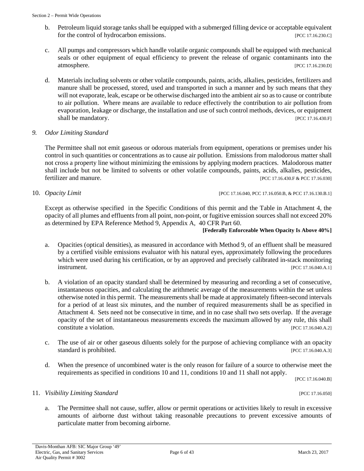- b. Petroleum liquid storage tanks shall be equipped with a submerged filling device or acceptable equivalent for the control of hydrocarbon emissions. [PCC 17.16.230.C]
- c. All pumps and compressors which handle volatile organic compounds shall be equipped with mechanical seals or other equipment of equal efficiency to prevent the release of organic contaminants into the atmosphere. [PCC 17.16.230.D]
- d. Materials including solvents or other volatile compounds, paints, acids, alkalies, pesticides, fertilizers and manure shall be processed, stored, used and transported in such a manner and by such means that they will not evaporate, leak, escape or be otherwise discharged into the ambient air so as to cause or contribute to air pollution. Where means are available to reduce effectively the contribution to air pollution from evaporation, leakage or discharge, the installation and use of such control methods, devices, or equipment shall be mandatory. [PCC 17.16.430.F]

#### *9. Odor Limiting Standard*

The Permittee shall not emit gaseous or odorous materials from equipment, operations or premises under his control in such quantities or concentrations as to cause air pollution. Emissions from malodorous matter shall not cross a property line without minimizing the emissions by applying modern practices. Malodorous matter shall include but not be limited to solvents or other volatile compounds, paints, acids, alkalies, pesticides, fertilizer and manure. [PCC 17.16.430.F & PCC 17.16.030]

10. *Opacity Limit* [PCC 17.16.040, PCC 17.16.050.B, & PCC 17.16.130.B.1]

Except as otherwise specified in the Specific Conditions of this permit and the Table in Attachment 4, the opacity of all plumes and effluents from all point, non-point, or fugitive emission sources shall not exceed 20% as determined by EPA Reference Method 9, Appendix A, 40 CFR Part 60.

**[Federally Enforceable When Opacity Is Above 40%]**

- a. Opacities (optical densities), as measured in accordance with Method 9, of an effluent shall be measured by a certified visible emissions evaluator with his natural eyes, approximately following the procedures which were used during his certification, or by an approved and precisely calibrated in-stack monitoring **instrument.** [PCC 17.16.040.A.1]
- b. A violation of an opacity standard shall be determined by measuring and recording a set of consecutive, instantaneous opacities, and calculating the arithmetic average of the measurements within the set unless otherwise noted in this permit. The measurements shall be made at approximately fifteen-second intervals for a period of at least six minutes, and the number of required measurements shall be as specified in Attachment 4. Sets need not be consecutive in time, and in no case shall two sets overlap. If the average opacity of the set of instantaneous measurements exceeds the maximum allowed by any rule, this shall constitute a violation. [PCC 17.16.040.A.2]
- c. The use of air or other gaseous diluents solely for the purpose of achieving compliance with an opacity standard is prohibited. [PCC 17.16.040.A.3]
- d. When the presence of uncombined water is the only reason for failure of a source to otherwise meet the requirements as specified in conditions 10 and 11, conditions 10 and 11 shall not apply.

[PCC 17.16.040.B]

#### 11. *Visibility Limiting Standard* [PCC 17.16.050]

a. The Permittee shall not cause, suffer, allow or permit operations or activities likely to result in excessive amounts of airborne dust without taking reasonable precautions to prevent excessive amounts of particulate matter from becoming airborne.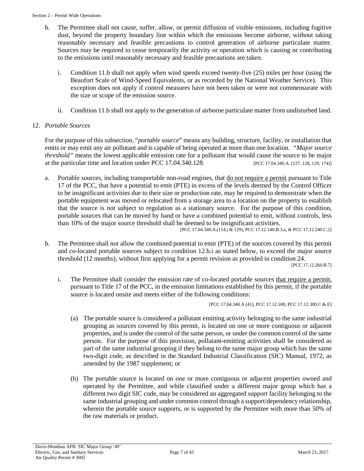- b. The Permittee shall not cause, suffer, allow, or permit diffusion of visible emissions, including fugitive dust, beyond the property boundary line within which the emissions become airborne, without taking reasonably necessary and feasible precautions to control generation of airborne particulate matter. Sources may be required to cease temporarily the activity or operation which is causing or contributing to the emissions until reasonably necessary and feasible precautions are taken.
	- i. Condition 11.b shall not apply when wind speeds exceed twenty-five (25) miles per hour (using the Beaufort Scale of Wind-Speed Equivalents, or as recorded by the National Weather Service). This exception does not apply if control measures have not been taken or were not commensurate with the size or scope of the emission source.
	- ii. Condition 11.b shall not apply to the generation of airborne particulate matter from undisturbed land.

#### 12. *Portable Sources*

For the purpose of this subsection, "*portable source*" means any building, structure, facility, or installation that emits or may emit any air pollutant and is capable of being operated at more than one location. *"Major source threshold"* means the lowest applicable emission rate for a pollutant that would cause the source to be major at the particular time and location under PCC 17.04.340.128. [PCC 17.04.340.A. (127, 128, 129, 174)]

a. Portable sources, including transportable non-road engines, that <u>do not require a permit</u> pursuant to Title 17 of the PCC, that have a potential to emit (PTE) in excess of the levels deemed by the Control Officer to be insignificant activities due to their size or production rate, may be required to demonstrate when the portable equipment was moved or relocated from a storage area to a location on the property to establish that the source is not subject to regulation as a stationary source. For the purpose of this condition, portable sources that can be moved by hand or have a combined potential to emit, without controls, less than 10% of the major source threshold shall be deemed to be insignificant activities.

[PCC 17.04.340.A.(114.j & 129), PCC 17.12.140.B.3.a, & PCC 17.12.240.C.2]

b*.* The Permittee shall not allow the combined potential to emit (PTE) of the sources covered by this permit and co-located portable sources subject to condition 12.b.i as stated below, to exceed the major source threshold (12 months), without first applying for a permit revision as provided in condition 24.

[PCC 17.12.260.B.7]

i. The Permittee shall consider the emission rate of co-located portable sources that require a permit, pursuant to Title 17 of the PCC, in the emission limitations established by this permit, if the portable source is located onsite and meets either of the following conditions:

[PCC 17.04.340.A (41), PCC 17.12.100, PCC 17.12.300.C & E]

- (a) The portable source is considered a pollutant emitting activity belonging to the same industrial grouping as sources covered by this permit, is located on one or more contiguous or adjacent properties, and is under the control of the same person, or under the common control of the same person. For the purpose of this provision, pollutant-emitting activities shall be considered as part of the same industrial grouping if they belong to the same major group which has the same two-digit code, as described in the Standard Industrial Classification (SIC) Manual, 1972, as amended by the 1987 supplement; or
- (b) The portable source is located on one or more contiguous or adjacent properties owned and operated by the Permittee, and while classified under a different major group which has a different two digit SIC code, may be considered an aggregated support facility belonging to the same industrial grouping and under common control through a support/dependency relationship, wherein the portable source supports, or is supported by the Permittee with more than 50% of the raw materials or product.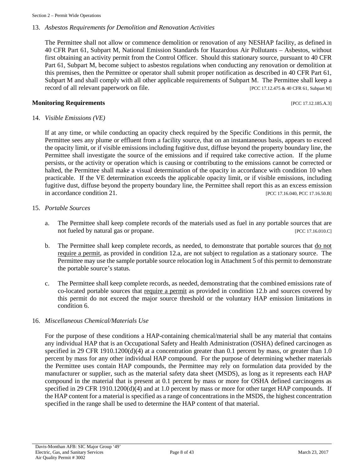#### 13. *Asbestos Requirements for Demolition and Renovation Activities*

The Permittee shall not allow or commence demolition or renovation of any NESHAP facility, as defined in 40 CFR Part 61, Subpart M, National Emission Standards for Hazardous Air Pollutants – Asbestos, without first obtaining an activity permit from the Control Officer. Should this stationary source, pursuant to 40 CFR Part 61, Subpart M, become subject to asbestos regulations when conducting any renovation or demolition at this premises, then the Permittee or operator shall submit proper notification as described in 40 CFR Part 61, Subpart M and shall comply with all other applicable requirements of Subpart M. The Permittee shall keep a record of all relevant paperwork on file. [PCC 17.12.475 & 40 CFR 61, Subpart M]

#### **Monitoring Requirements Exercíal Exercíal Exercíal Exercíal Exercíal Exercíal Exercíal Exercíal Exercíal Exercíal Exercíal Exercíal Exercíal Exercíal Exercíal Exercíal Exercíal Exercíal Exercíal Exercíal Exercíal Exercí**

#### 14. *Visible Emissions (VE)*

If at any time, or while conducting an opacity check required by the Specific Conditions in this permit, the Permittee sees any plume or effluent from a facility source, that on an instantaneous basis, appears to exceed the opacity limit, or if visible emissions including fugitive dust, diffuse beyond the property boundary line, the Permittee shall investigate the source of the emissions and if required take corrective action. If the plume persists, or the activity or operation which is causing or contributing to the emissions cannot be corrected or halted, the Permittee shall make a visual determination of the opacity in accordance with condition 10 when practicable. If the VE determination exceeds the applicable opacity limit, or if visible emissions, including fugitive dust, diffuse beyond the property boundary line, the Permittee shall report this as an excess emission in accordance condition 21. [PCC 17.16.040, PCC 17.16.50.B]

#### 15. *Portable Sources*

- a. The Permittee shall keep complete records of the materials used as fuel in any portable sources that are not fueled by natural gas or propane. [PCC 17.16.010.C]
- b. The Permittee shall keep complete records, as needed, to demonstrate that portable sources that do not require a permit, as provided in condition 12.a, are not subject to regulation as a stationary source. The Permittee may use the sample portable source relocation log in Attachment 5 of this permit to demonstrate the portable source's status.
- c. The Permittee shall keep complete records, as needed, demonstrating that the combined emissions rate of co-located portable sources that require a permit as provided in condition 12.b and sources covered by this permit do not exceed the major source threshold or the voluntary HAP emission limitations in condition 6.

#### 16. *Miscellaneous Chemical/Materials Use*

For the purpose of these conditions a HAP-containing chemical/material shall be any material that contains any individual HAP that is an Occupational Safety and Health Administration (OSHA) defined carcinogen as specified in 29 CFR 1910.1200(d)(4) at a concentration greater than 0.1 percent by mass, or greater than 1.0 percent by mass for any other individual HAP compound. For the purpose of determining whether materials the Permittee uses contain HAP compounds, the Permittee may rely on formulation data provided by the manufacturer or supplier, such as the material safety data sheet (MSDS), as long as it represents each HAP compound in the material that is present at 0.1 percent by mass or more for OSHA defined carcinogens as specified in 29 CFR 1910.1200(d)(4) and at 1.0 percent by mass or more for other target HAP compounds. If the HAP content for a material is specified as a range of concentrations in the MSDS, the highest concentration specified in the range shall be used to determine the HAP content of that material.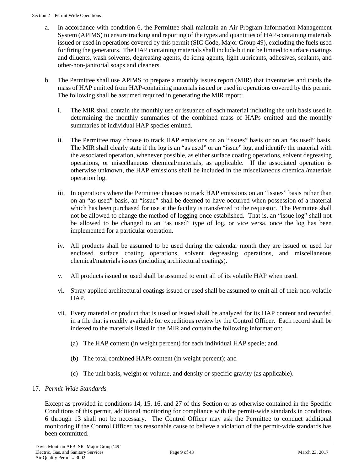- a. In accordance with condition 6, the Permittee shall maintain an Air Program Information Management System (APIMS) to ensure tracking and reporting of the types and quantities of HAP-containing materials issued or used in operations covered by this permit (SIC Code, Major Group 49), excluding the fuels used for firing the generators. The HAP containing materials shall include but not be limited to surface coatings and diluents, wash solvents, degreasing agents, de-icing agents, light lubricants, adhesives, sealants, and other-non-janitorial soaps and cleaners.
- b. The Permittee shall use APIMS to prepare a monthly issues report (MIR) that inventories and totals the mass of HAP emitted from HAP-containing materials issued or used in operations covered by this permit. The following shall be assumed required in generating the MIR report:
	- i. The MIR shall contain the monthly use or issuance of each material including the unit basis used in determining the monthly summaries of the combined mass of HAPs emitted and the monthly summaries of individual HAP species emitted.
	- ii. The Permittee may choose to track HAP emissions on an "issues" basis or on an "as used" basis. The MIR shall clearly state if the log is an "as used" or an "issue" log, and identify the material with the associated operation, whenever possible, as either surface coating operations, solvent degreasing operations, or miscellaneous chemical/materials, as applicable. If the associated operation is otherwise unknown, the HAP emissions shall be included in the miscellaneous chemical/materials operation log.
	- iii. In operations where the Permittee chooses to track HAP emissions on an "issues" basis rather than on an "as used" basis, an "issue" shall be deemed to have occurred when possession of a material which has been purchased for use at the facility is transferred to the requestor. The Permittee shall not be allowed to change the method of logging once established. That is, an "issue log" shall not be allowed to be changed to an "as used" type of log, or vice versa, once the log has been implemented for a particular operation.
	- iv. All products shall be assumed to be used during the calendar month they are issued or used for enclosed surface coating operations, solvent degreasing operations, and miscellaneous chemical/materials issues (including architectural coatings).
	- v. All products issued or used shall be assumed to emit all of its volatile HAP when used.
	- vi. Spray applied architectural coatings issued or used shall be assumed to emit all of their non-volatile HAP.
	- vii. Every material or product that is used or issued shall be analyzed for its HAP content and recorded in a file that is readily available for expeditious review by the Control Officer. Each record shall be indexed to the materials listed in the MIR and contain the following information:
		- (a) The HAP content (in weight percent) for each individual HAP specie; and
		- (b) The total combined HAPs content (in weight percent); and
		- (c) The unit basis, weight or volume, and density or specific gravity (as applicable).

# 17. *Permit-Wide Standards*

Except as provided in conditions 14, 15, 16, and 27 of this Section or as otherwise contained in the Specific Conditions of this permit, additional monitoring for compliance with the permit-wide standards in conditions 6 through 13 shall not be necessary. The Control Officer may ask the Permittee to conduct additional monitoring if the Control Officer has reasonable cause to believe a violation of the permit-wide standards has been committed.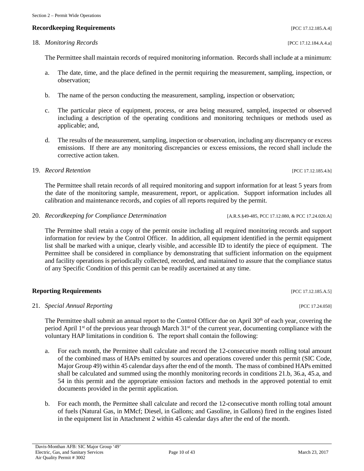# **Recordkeeping Requirements** [PCC 17.12.185.A.4]

The Permittee shall maintain records of required monitoring information. Records shall include at a minimum:

- a. The date, time, and the place defined in the permit requiring the measurement, sampling, inspection, or observation;
- b. The name of the person conducting the measurement, sampling, inspection or observation;
- c. The particular piece of equipment, process, or area being measured, sampled, inspected or observed including a description of the operating conditions and monitoring techniques or methods used as applicable; and,
- d. The results of the measurement, sampling, inspection or observation, including any discrepancy or excess emissions. If there are any monitoring discrepancies or excess emissions, the record shall include the corrective action taken.
- 19. *Record Retention* [PCC 17.12.185.4.b]

The Permittee shall retain records of all required monitoring and support information for at least 5 years from the date of the monitoring sample, measurement, report, or application. Support information includes all calibration and maintenance records, and copies of all reports required by the permit.

20. *Recordkeeping for Compliance Determination* [A.R.S.§49-485, PCC 17.12.080, & PCC 17.24.020.A]

The Permittee shall retain a copy of the permit onsite including all required monitoring records and support information for review by the Control Officer. In addition, all equipment identified in the permit equipment list shall be marked with a unique, clearly visible, and accessible ID to identify the piece of equipment. The Permittee shall be considered in compliance by demonstrating that sufficient information on the equipment and facility operations is periodically collected, recorded, and maintained to assure that the compliance status of any Specific Condition of this permit can be readily ascertained at any time.

#### **Reporting Requirements** [PCC 17.12.185.A.5]

21. *Special Annual Reporting* [PCC 17.24.050]

The Permittee shall submit an annual report to the Control Officer due on April 30<sup>th</sup> of each year, covering the period April 1<sup>st</sup> of the previous year through March 31<sup>st</sup> of the current year, documenting compliance with the voluntary HAP limitations in condition 6. The report shall contain the following:

- a. For each month, the Permittee shall calculate and record the 12-consecutive month rolling total amount of the combined mass of HAPs emitted by sources and operations covered under this permit (SIC Code, Major Group 49) within 45 calendar days after the end of the month. The mass of combined HAPs emitted shall be calculated and summed using the monthly monitoring records in conditions 21.b, 36.a, 45.a, and 54 in this permit and the appropriate emission factors and methods in the approved potential to emit documents provided in the permit application.
- b. For each month, the Permittee shall calculate and record the 12-consecutive month rolling total amount of fuels (Natural Gas, in MMcf; Diesel, in Gallons; and Gasoline, in Gallons) fired in the engines listed in the equipment list in Attachment 2 within 45 calendar days after the end of the month.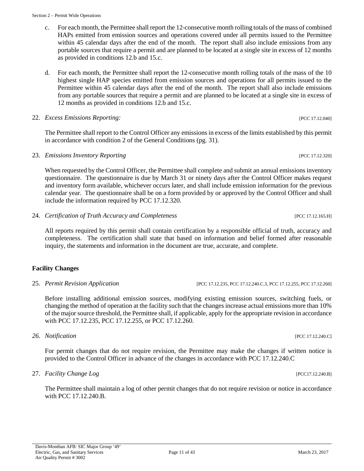- c. For each month, the Permittee shall report the 12-consecutive month rolling totals of the mass of combined HAPs emitted from emission sources and operations covered under all permits issued to the Permittee within 45 calendar days after the end of the month. The report shall also include emissions from any portable sources that require a permit and are planned to be located at a single site in excess of 12 months as provided in conditions 12.b and 15.c.
- d. For each month, the Permittee shall report the 12-consecutive month rolling totals of the mass of the 10 highest single HAP species emitted from emission sources and operations for all permits issued to the Permittee within 45 calendar days after the end of the month. The report shall also include emissions from any portable sources that require a permit and are planned to be located at a single site in excess of 12 months as provided in conditions 12.b and 15.c.

#### 22. *Excess Emissions Reporting:* [PCC 17.12.040]

The Permittee shall report to the Control Officer any emissions in excess of the limits established by this permit in accordance with condition 2 of the General Conditions (pg. 31).

23. *Emissions Inventory Reporting* [PCC 17.12.320]

When requested by the Control Officer, the Permittee shall complete and submit an annual emissions inventory questionnaire. The questionnaire is due by March 31 or ninety days after the Control Officer makes request and inventory form available, whichever occurs later, and shall include emission information for the previous calendar year. The questionnaire shall be on a form provided by or approved by the Control Officer and shall include the information required by PCC 17.12.320.

24. *Certification of Truth Accuracy and Completeness* [PCC 17.12.165.H]

All reports required by this permit shall contain certification by a responsible official of truth, accuracy and completeness. The certification shall state that based on information and belief formed after reasonable inquiry, the statements and information in the document are true, accurate, and complete.

# **Facility Changes**

25. *Permit Revision Application* [PCC 17.12.235, PCC 17.12.240.C.3, PCC 17.12.255, PCC 17.12.260]

Before installing additional emission sources, modifying existing emission sources, switching fuels, or changing the method of operation at the facility such that the changes increase actual emissions more than 10% of the major source threshold, the Permittee shall, if applicable, apply for the appropriate revision in accordance with PCC 17.12.235, PCC 17.12.255, or PCC 17.12.260.

#### *26. Notification* [PCC 17.12.240.C]

For permit changes that do not require revision, the Permittee may make the changes if written notice is provided to the Control Officer in advance of the changes in accordance with PCC 17.12.240.C

# 27. *Facility Change Log* [PCC17.12.240.B]

The Permittee shall maintain a log of other permit changes that do not require revision or notice in accordance with PCC 17.12.240.B.

#### Page 11 of 43 March 23, 2017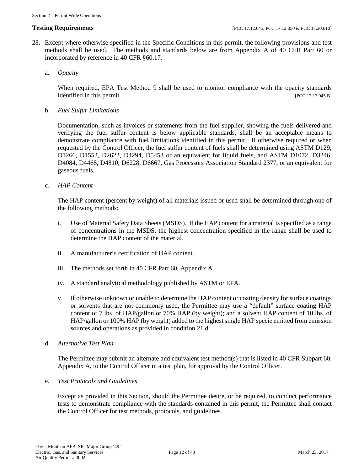- 28. Except where otherwise specified in the Specific Conditions in this permit, the following provisions and test methods shall be used. The methods and standards below are from Appendix A of 40 CFR Part 60 or incorporated by reference in 40 CFR §60.17.
	- a. *Opacity*

When required, EPA Test Method 9 shall be used to monitor compliance with the opacity standards identified in this permit. [PCC 17.12.045.B]

b. *Fuel Sulfur Limitations*

Documentation, such as invoices or statements from the fuel supplier, showing the fuels delivered and verifying the fuel sulfur content is below applicable standards, shall be an acceptable means to demonstrate compliance with fuel limitations identified in this permit. If otherwise required or when requested by the Control Officer, the fuel sulfur content of fuels shall be determined using ASTM D129, D1266, D1552, D2622, D4294, D5453 or an equivalent for liquid fuels, and ASTM D1072, D3246, D4084, D4468, D4810, D6228, D6667, Gas Processors Association Standard 2377, or an equivalent for gaseous fuels.

c. *HAP Content*

The HAP content (percent by weight) of all materials issued or used shall be determined through one of the following methods:

- i. Use of Material Safety Data Sheets (MSDS). If the HAP content for a material is specified as a range of concentrations in the MSDS, the highest concentration specified in the range shall be used to determine the HAP content of the material.
- ii. A manufacturer's certification of HAP content.
- iii. The methods set forth in 40 CFR Part 60, Appendix A.
- iv. A standard analytical methodology published by ASTM or EPA.
- v. If otherwise unknown or unable to determine the HAP content or coating density for surface coatings or solvents that are not commonly used, the Permittee may use a "default" surface coating HAP content of 7 lbs. of HAP/gallon or 70% HAP (by weight); and a solvent HAP content of 10 lbs. of HAP/gallon or 100% HAP (by weight) added to the highest single HAP specie emitted from emission sources and operations as provided in condition 21.d.
- d. *Alternative Test Plan*

The Permittee may submit an alternate and equivalent test method(s) that is listed in 40 CFR Subpart 60, Appendix A, to the Control Officer in a test plan, for approval by the Control Officer.

e. *Test Protocols and Guidelines*

Except as provided in this Section, should the Permittee desire, or be required, to conduct performance tests to demonstrate compliance with the standards contained in this permit, the Permittee shall contact the Control Officer for test methods, protocols, and guidelines.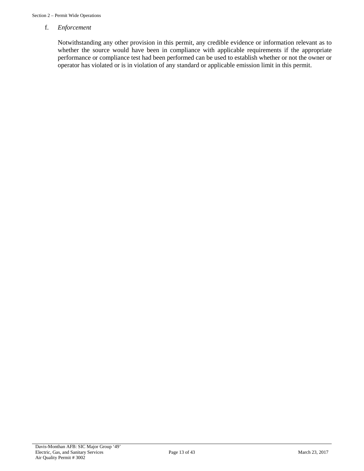#### f. *Enforcement*

Notwithstanding any other provision in this permit, any credible evidence or information relevant as to whether the source would have been in compliance with applicable requirements if the appropriate performance or compliance test had been performed can be used to establish whether or not the owner or operator has violated or is in violation of any standard or applicable emission limit in this permit.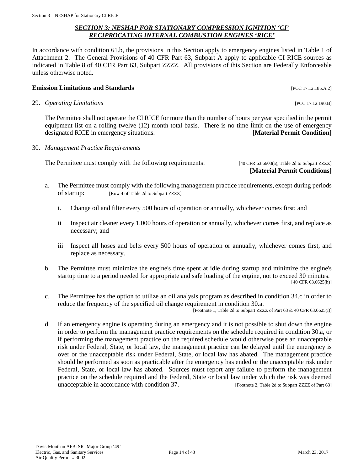# *SECTION 3: NESHAP FOR STATIONARY COMPRESSION IGNITION 'CI' RECIPROCATING INTERNAL COMBUSTION ENGINES 'RICE'*

<span id="page-13-0"></span>In accordance with condition 61.b, the provisions in this Section apply to emergency engines listed in Table 1 of Attachment 2. The General Provisions of 40 CFR Part 63, Subpart A apply to applicable CI RICE sources as indicated in Table 8 of 40 CFR Part 63, Subpart ZZZZ. All provisions of this Section are Federally Enforceable unless otherwise noted.

# **Emission Limitations and Standards Emission Limitations and Standards Exercíse 2016**

29. *Operating Limitations* [PCC 17.12.190.B]

The Permittee shall not operate the CI RICE for more than the number of hours per year specified in the permit equipment list on a rolling twelve (12) month total basis. There is no time limit on the use of emergency designated RICE in emergency situations. **[Material Permit Condition]**

30. *Management Practice Requirements*

The Permittee must comply with the following requirements: [40 CFR 63.6603(a), Table 2d to Subpart ZZZZ]

**[Material Permit Conditions]**

- a. The Permittee must comply with the following management practice requirements, except during periods of startup: [Row 4 of Table 2d to Subpart ZZZZ]
	- i. Change oil and filter every 500 hours of operation or annually, whichever comes first; and
	- ii Inspect air cleaner every 1,000 hours of operation or annually, whichever comes first, and replace as necessary; and
	- iii Inspect all hoses and belts every 500 hours of operation or annually, whichever comes first, and replace as necessary.
- b. The Permittee must minimize the engine's time spent at idle during startup and minimize the engine's startup time to a period needed for appropriate and safe loading of the engine, not to exceed 30 minutes. [40 CFR 63.6625(h)]
- c. The Permittee has the option to utilize an oil analysis program as described in condition 34.c in order to reduce the frequency of the specified oil change requirement in condition 30.a. [Footnote 1, Table 2d to Subpart ZZZZ of Part 63 & 40 CFR 63.6625(i)]
- d. If an emergency engine is operating during an emergency and it is not possible to shut down the engine in order to perform the management practice requirements on the schedule required in condition 30.a, or if performing the management practice on the required schedule would otherwise pose an unacceptable risk under Federal, State, or local law, the management practice can be delayed until the emergency is over or the unacceptable risk under Federal, State, or local law has abated. The management practice should be performed as soon as practicable after the emergency has ended or the unacceptable risk under Federal, State, or local law has abated. Sources must report any failure to perform the management practice on the schedule required and the Federal, State or local law under which the risk was deemed unacceptable in accordance with condition 37. [Footnote 2, Table 2d to Subpart ZZZZ of Part 63]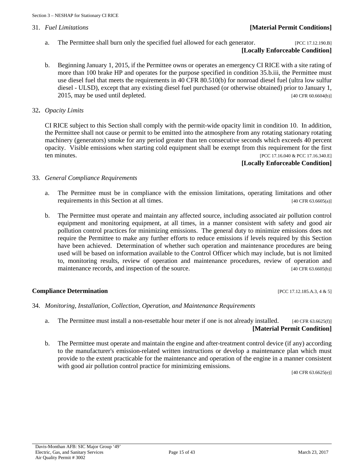# 31. *Fuel Limitations* **[Material Permit Conditions]**

a. The Permittee shall burn only the specified fuel allowed for each generator. [PCC 17.12.190.B]

# **[Locally Enforceable Condition]**

b. Beginning January 1, 2015, if the Permittee owns or operates an emergency CI RICE with a site rating of more than 100 brake HP and operates for the purpose specified in condition 35.b.iii, the Permittee must use diesel fuel that meets the requirements in 40 CFR 80.510(b) for nonroad diesel fuel (ultra low sulfur diesel - ULSD), except that any existing diesel fuel purchased (or otherwise obtained) prior to January 1, 2015, may be used until depleted. [40 CFR 60.6604(b)]

#### 32**.** *Opacity Limits*

CI RICE subject to this Section shall comply with the permit-wide opacity limit in condition 10. In addition, the Permittee shall not cause or permit to be emitted into the atmosphere from any rotating stationary rotating machinery (generators) smoke for any period greater than ten consecutive seconds which exceeds 40 percent opacity. Visible emissions when starting cold equipment shall be exempt from this requirement for the first ten minutes. [PCC 17.16.040 & PCC 17.16.340.E]

# **[Locally Enforceable Condition]**

#### 33. *General Compliance Requirements*

- a. The Permittee must be in compliance with the emission limitations, operating limitations and other requirements in this Section at all times. [40 CFR 63.6605(a)]
- b. The Permittee must operate and maintain any affected source, including associated air pollution control equipment and monitoring equipment, at all times, in a manner consistent with safety and good air pollution control practices for minimizing emissions. The general duty to minimize emissions does not require the Permittee to make any further efforts to reduce emissions if levels required by this Section have been achieved. Determination of whether such operation and maintenance procedures are being used will be based on information available to the Control Officer which may include, but is not limited to, monitoring results, review of operation and maintenance procedures, review of operation and maintenance records, and inspection of the source. [40 CFR 63.6605(b)]

#### **Compliance Determination** [PCC 17.12.185.A.3, 4 & 5]

- 34. *Monitoring, Installation, Collection, Operation, and Maintenance Requirements*
	- a. The Permittee must install a non-resettable hour meter if one is not already installed. [40 CFR 63.6625(f)] **[Material Permit Condition]**
	- b. The Permittee must operate and maintain the engine and after-treatment control device (if any) according to the manufacturer's emission-related written instructions or develop a maintenance plan which must provide to the extent practicable for the maintenance and operation of the engine in a manner consistent with good air pollution control practice for minimizing emissions.

[40 CFR 63.6625(e)]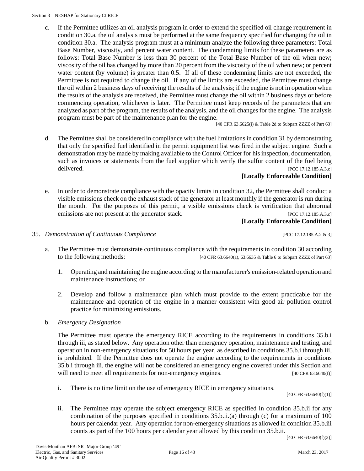c. If the Permittee utilizes an oil analysis program in order to extend the specified oil change requirement in condition 30.a, the oil analysis must be performed at the same frequency specified for changing the oil in condition 30.a. The analysis program must at a minimum analyze the following three parameters: Total Base Number, viscosity, and percent water content. The condemning limits for these parameters are as follows: Total Base Number is less than 30 percent of the Total Base Number of the oil when new; viscosity of the oil has changed by more than 20 percent from the viscosity of the oil when new; or percent water content (by volume) is greater than 0.5. If all of these condemning limits are not exceeded, the Permittee is not required to change the oil. If any of the limits are exceeded, the Permittee must change the oil within 2 business days of receiving the results of the analysis; if the engine is not in operation when the results of the analysis are received, the Permittee must change the oil within 2 business days or before commencing operation, whichever is later. The Permittee must keep records of the parameters that are analyzed as part of the program, the results of the analysis, and the oil changes for the engine. The analysis program must be part of the maintenance plan for the engine.

[40 CFR 63.6625(i) & Table 2d to Subpart ZZZZ of Part 63]

d. The Permittee shall be considered in compliance with the fuel limitations in condition 31 by demonstrating that only the specified fuel identified in the permit equipment list was fired in the subject engine. Such a demonstration may be made by making available to the Control Officer for his inspection, documentation, such as invoices or statements from the fuel supplier which verify the sulfur content of the fuel being delivered. [PCC 17.12.185.A.3.c]

# **[Locally Enforceable Condition]**

e. In order to demonstrate compliance with the opacity limits in condition 32, the Permittee shall conduct a visible emissions check on the exhaust stack of the generator at least monthly if the generator is run during the month. For the purposes of this permit, a visible emissions check is verification that abnormal emissions are not present at the generator stack. [PCC 17.12.185.A.3.c]

# **[Locally Enforceable Condition]**

- 35. *Demonstration of Continuous Compliance* [PCC 17.12.185.A.2 & 3]
	- a. The Permittee must demonstrate continuous compliance with the requirements in condition 30 according to the following methods: [40 CFR 63.6640(a), 63.6635 & Table 6 to Subpart ZZZZ of Part 63]
		- 1. Operating and maintaining the engine according to the manufacturer's emission-related operation and maintenance instructions; or
		- 2. Develop and follow a maintenance plan which must provide to the extent practicable for the maintenance and operation of the engine in a manner consistent with good air pollution control practice for minimizing emissions.
	- b. *Emergency Designation*

The Permittee must operate the emergency RICE according to the requirements in conditions 35.b.i through iii, as stated below. Any operation other than emergency operation, maintenance and testing, and operation in non-emergency situations for 50 hours per year, as described in conditions 35.b.i through iii, is prohibited. If the Permittee does not operate the engine according to the requirements in conditions 35.b.i through iii, the engine will not be considered an emergency engine covered under this Section and will need to meet all requirements for non-emergency engines. [40 CFR 63.6640(f)]

i. There is no time limit on the use of emergency RICE in emergency situations.

[40 CFR 63.6640(f)(1)]

ii. The Permittee may operate the subject emergency RICE as specified in condition 35.b.ii for any combination of the purposes specified in conditions 35.b.ii.(a) through (c) for a maximum of 100 hours per calendar year. Any operation for non-emergency situations as allowed in condition 35.b.iii counts as part of the 100 hours per calendar year allowed by this condition 35.b.ii.

[40 CFR 63.6640(f)(2)]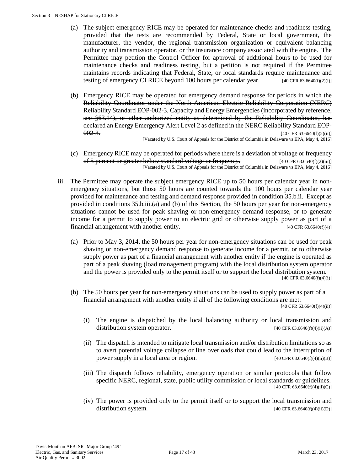- (a) The subject emergency RICE may be operated for maintenance checks and readiness testing, provided that the tests are recommended by Federal, State or local government, the manufacturer, the vendor, the regional transmission organization or equivalent balancing authority and transmission operator, or the insurance company associated with the engine. The Permittee may petition the Control Officer for approval of additional hours to be used for maintenance checks and readiness testing, but a petition is not required if the Permittee maintains records indicating that Federal, State, or local standards require maintenance and testing of emergency CI RICE beyond 100 hours per calendar year. [40 CFR 63.6640(f)(2)(i)]
- (b) Emergency RICE may be operated for emergency demand response for periods in which the Reliability Coordinator under the North American Electric Reliability Corporation (NERC) Reliability Standard EOP-002-3, Capacity and Energy Emergencies (incorporated by reference, see §63.14), or other authorized entity as determined by the Reliability Coordinator, has declared an Energy Emergency Alert Level 2 as defined in the NERC Reliability Standard EOP- $002-3$ . [40 CFR 63.6640(f)(2)(ii)]

[Vacated by U.S. Court of Appeals for the District of Columbia in Delaware vs EPA, May 4, 2016]

- (c) Emergency RICE may be operated for periods where there is a deviation of voltage or frequency of 5 percent or greater below standard voltage or frequency. [40 CFR 63.6640(f)(2)(iii)] [Vacated by U.S. Court of Appeals for the District of Columbia in Delaware vs EPA, May 4, 2016]
- iii. The Permittee may operate the subject emergency RICE up to 50 hours per calendar year in nonemergency situations, but those 50 hours are counted towards the 100 hours per calendar year provided for maintenance and testing and demand response provided in condition 35.b.ii. Except as provided in conditions 35.b.iii.(a) and (b) of this Section, the 50 hours per year for non-emergency situations cannot be used for peak shaving or non-emergency demand response, or to generate income for a permit to supply power to an electric grid or otherwise supply power as part of a financial arrangement with another entity. [40 CFR 63.6640(f)(4)]
	- (a) Prior to May 3, 2014, the 50 hours per year for non-emergency situations can be used for peak shaving or non-emergency demand response to generate income for a permit, or to otherwise supply power as part of a financial arrangement with another entity if the engine is operated as part of a peak shaving (load management program) with the local distribution system operator and the power is provided only to the permit itself or to support the local distribution system.  $[40 \text{ CFR } 63.6640(f)(4)(i)]$
	- (b) The 50 hours per year for non-emergency situations can be used to supply power as part of a financial arrangement with another entity if all of the following conditions are met:

 $[40 \text{ CFR } 63.6640(f)(4)(ii)]$ 

- (i) The engine is dispatched by the local balancing authority or local transmission and distribution system operator.  $[40 \text{ CFR } 63.6640(f)(4)(ii)(A)]$
- (ii) The dispatch is intended to mitigate local transmission and/or distribution limitations so as to avert potential voltage collapse or line overloads that could lead to the interruption of power supply in a local area or region.  $[40 \text{ CFR } 63.6640 \text{ (f)}(4) \text{ (ii)}(B)]$
- (iii) The dispatch follows reliability, emergency operation or similar protocols that follow specific NERC, regional, state, public utility commission or local standards or guidelines. [40 CFR 63.6640(f)(4)(ii)(C)]
- (iv) The power is provided only to the permit itself or to support the local transmission and distribution system.  $[40 \text{ CFR } 63.6640(f)(4)(ii)(D)]$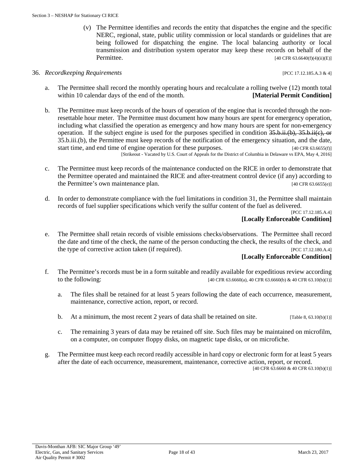(v) The Permittee identifies and records the entity that dispatches the engine and the specific NERC, regional, state, public utility commission or local standards or guidelines that are being followed for dispatching the engine. The local balancing authority or local transmission and distribution system operator may keep these records on behalf of the **Permittee.** [40 CFR 63.6640(f)(4)(ii)(E)]

#### 36. *Recordkeeping Requirements* [PCC 17.12.185.A.3 & 4]

- a. The Permittee shall record the monthly operating hours and recalculate a rolling twelve (12) month total within 10 calendar days of the end of the month. **[Material Permit Condition**]
- b. The Permittee must keep records of the hours of operation of the engine that is recorded through the nonresettable hour meter. The Permittee must document how many hours are spent for emergency operation, including what classified the operation as emergency and how many hours are spent for non-emergency operation. If the subject engine is used for the purposes specified in condition  $35. \dot{b}$ .ii.(b),  $35. \dot{b}$ .ii.(e), or 35.b.iii.(b), the Permittee must keep records of the notification of the emergency situation, and the date, start time, and end time of engine operation for these purposes. [40 CFR 63.6655(f)] [Strikeout - Vacated by U.S. Court of Appeals for the District of Columbia in Delaware vs EPA, May 4, 2016]
- c. The Permittee must keep records of the maintenance conducted on the RICE in order to demonstrate that the Permittee operated and maintained the RICE and after-treatment control device (if any) according to the Permittee's own maintenance plan. [40 CFR 63.6655(e)]
- d. In order to demonstrate compliance with the fuel limitations in condition 31, the Permittee shall maintain records of fuel supplier specifications which verify the sulfur content of the fuel as delivered.

[PCC 17.12.185.A.4] **[Locally Enforceable Condition]**

e. The Permittee shall retain records of visible emissions checks/observations. The Permittee shall record the date and time of the check, the name of the person conducting the check, the results of the check, and the type of corrective action taken (if required). [PCC 17.12.180.A.4]

#### **[Locally Enforceable Condition]**

- f. The Permittee's records must be in a form suitable and readily available for expeditious review according to the following: [40 CFR 63.6660(a), 40 CFR 63.6660(b) & 40 CFR 63.10(b)(1)]
	- a. The files shall be retained for at least 5 years following the date of each occurrence, measurement, maintenance, corrective action, report, or record.
	- b. At a minimum, the most recent 2 years of data shall be retained on site.  $[T_{\text{able 8, 63.10(b)(1)}}]$
	- c. The remaining 3 years of data may be retained off site. Such files may be maintained on microfilm, on a computer, on computer floppy disks, on magnetic tape disks, or on microfiche.
- g. The Permittee must keep each record readily accessible in hard copy or electronic form for at least 5 years after the date of each occurrence, measurement, maintenance, corrective action, report, or record.

[40 CFR 63.6660 & 40 CFR 63.10(b)(1)]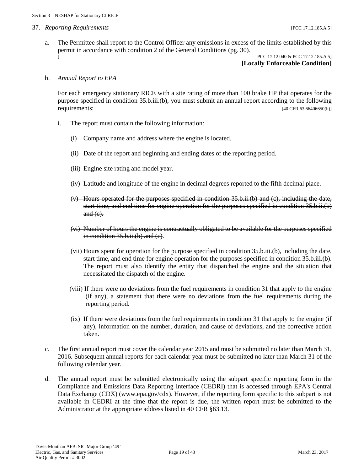#### 37. *Reporting Requirements* [PCC 17.12.185.A.5]

a. The Permittee shall report to the Control Officer any emissions in excess of the limits established by this permit in accordance with condition 2 of the General Conditions (pg. 30). PCC 17.12.040 & PCC 17.12.185.A.5]

# **[Locally Enforceable Condition]**

#### b. *Annual Report to EPA*

For each emergency stationary RICE with a site rating of more than 100 brake HP that operates for the purpose specified in condition 35.b.iii.(b), you must submit an annual report according to the following requirements: [40 CFR 63.66406650(h)]

- i. The report must contain the following information:
	- (i) Company name and address where the engine is located.
	- (ii) Date of the report and beginning and ending dates of the reporting period.
	- (iii) Engine site rating and model year.
	- (iv) Latitude and longitude of the engine in decimal degrees reported to the fifth decimal place.
	- $(v)$  Hours operated for the purposes specified in condition 35.b.ii.(b) and (c), including the date, start time, and end time for engine operation for the purposes specified in condition 35.b.ii.(b)  $and (e)$ .
	- (vi) Number of hours the engine is contractually obligated to be available for the purposes specified in condition 35.b.ii.(b) and (c).
	- (vii) Hours spent for operation for the purpose specified in condition 35.b.iii.(b), including the date, start time, and end time for engine operation for the purposes specified in condition 35.b.iii.(b). The report must also identify the entity that dispatched the engine and the situation that necessitated the dispatch of the engine.
	- (viii) If there were no deviations from the fuel requirements in condition 31 that apply to the engine (if any), a statement that there were no deviations from the fuel requirements during the reporting period.
	- (ix) If there were deviations from the fuel requirements in condition 31 that apply to the engine (if any), information on the number, duration, and cause of deviations, and the corrective action taken.
- c. The first annual report must cover the calendar year 2015 and must be submitted no later than March 31, 2016. Subsequent annual reports for each calendar year must be submitted no later than March 31 of the following calendar year.
- d. The annual report must be submitted electronically using the subpart specific reporting form in the Compliance and Emissions Data Reporting Interface (CEDRI) that is accessed through EPA's Central Data Exchange (CDX) (www.epa.gov/cdx). However, if the reporting form specific to this subpart is not available in CEDRI at the time that the report is due, the written report must be submitted to the Administrator at the appropriate address listed in 40 CFR §63.13.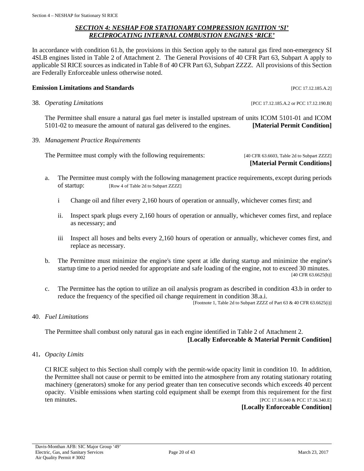### *SECTION 4: NESHAP FOR STATIONARY COMPRESSION IGNITION 'SI' RECIPROCATING INTERNAL COMBUSTION ENGINES 'RICE'*

<span id="page-19-0"></span>In accordance with condition 61.b, the provisions in this Section apply to the natural gas fired non-emergency SI 4SLB engines listed in Table 2 of Attachment 2. The General Provisions of 40 CFR Part 63, Subpart A apply to applicable SI RICE sources as indicated in Table 8 of 40 CFR Part 63, Subpart ZZZZ. All provisions of this Section are Federally Enforceable unless otherwise noted.

### **Emission Limitations and Standards Emission Limitations and Standards Exercíse 2016**

38. *Operating Limitations* [PCC 17.12.185.A.2 or PCC 17.12.190.B]

The Permittee shall ensure a natural gas fuel meter is installed upstream of units ICOM 5101-01 and ICOM 5101-02 to measure the amount of natural gas delivered to the engines. **[Material Permit Condition]**

39. *Management Practice Requirements*

The Permittee must comply with the following requirements: [40 CFR 63.6603, Table 2d to Subpart ZZZZ]

**[Material Permit Conditions]**

- a. The Permittee must comply with the following management practice requirements, except during periods of startup: [Row 4 of Table 2d to Subpart ZZZZ]
	- i Change oil and filter every 2,160 hours of operation or annually, whichever comes first; and
	- ii. Inspect spark plugs every 2,160 hours of operation or annually, whichever comes first, and replace as necessary; and
	- iii Inspect all hoses and belts every 2,160 hours of operation or annually, whichever comes first, and replace as necessary.
- b. The Permittee must minimize the engine's time spent at idle during startup and minimize the engine's startup time to a period needed for appropriate and safe loading of the engine, not to exceed 30 minutes. [40 CFR 63.6625(h)]
- c. The Permittee has the option to utilize an oil analysis program as described in condition 43.b in order to reduce the frequency of the specified oil change requirement in condition 38.a.i.

[Footnote 1, Table 2d to Subpart ZZZZ of Part 63 & 40 CFR 63.6625(i)]

40. *Fuel Limitations*

The Permittee shall combust only natural gas in each engine identified in Table 2 of Attachment 2. **[Locally Enforceable & Material Permit Condition]**

41**.** *Opacity Limits*

CI RICE subject to this Section shall comply with the permit-wide opacity limit in condition 10. In addition, the Permittee shall not cause or permit to be emitted into the atmosphere from any rotating stationary rotating machinery (generators) smoke for any period greater than ten consecutive seconds which exceeds 40 percent opacity. Visible emissions when starting cold equipment shall be exempt from this requirement for the first ten minutes.<br>
[PCC 17.16.940 & PCC 17.16.340.EI] [PCC 17.16.040 & PCC 17.16.340.E]

**[Locally Enforceable Condition]**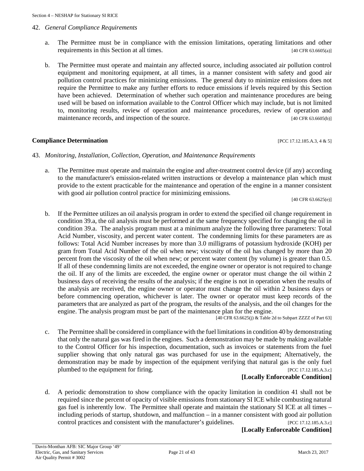#### 42. *General Compliance Requirements*

- a. The Permittee must be in compliance with the emission limitations, operating limitations and other requirements in this Section at all times. [40 CFR 63.6605(a)]
- b. The Permittee must operate and maintain any affected source, including associated air pollution control equipment and monitoring equipment, at all times, in a manner consistent with safety and good air pollution control practices for minimizing emissions. The general duty to minimize emissions does not require the Permittee to make any further efforts to reduce emissions if levels required by this Section have been achieved. Determination of whether such operation and maintenance procedures are being used will be based on information available to the Control Officer which may include, but is not limited to, monitoring results, review of operation and maintenance procedures, review of operation and maintenance records, and inspection of the source. [40 CFR 63.6605(b)]

#### **Compliance Determination** [PCC 17.12.185.A.3, 4 & 5]

#### 43. *Monitoring, Installation, Collection, Operation, and Maintenance Requirements*

a. The Permittee must operate and maintain the engine and after-treatment control device (if any) according to the manufacturer's emission-related written instructions or develop a maintenance plan which must provide to the extent practicable for the maintenance and operation of the engine in a manner consistent with good air pollution control practice for minimizing emissions.

[40 CFR 63.6625(e)]

b. If the Permittee utilizes an oil analysis program in order to extend the specified oil change requirement in condition 39.a, the oil analysis must be performed at the same frequency specified for changing the oil in condition 39.a. The analysis program must at a minimum analyze the following three parameters: Total Acid Number, viscosity, and percent water content. The condemning limits for these parameters are as follows: Total Acid Number increases by more than 3.0 milligrams of potassium hydroxide (KOH) per gram from Total Acid Number of the oil when new; viscosity of the oil has changed by more than 20 percent from the viscosity of the oil when new; or percent water content (by volume) is greater than 0.5. If all of these condemning limits are not exceeded, the engine owner or operator is not required to change the oil. If any of the limits are exceeded, the engine owner or operator must change the oil within 2 business days of receiving the results of the analysis; if the engine is not in operation when the results of the analysis are received, the engine owner or operator must change the oil within 2 business days or before commencing operation, whichever is later. The owner or operator must keep records of the parameters that are analyzed as part of the program, the results of the analysis, and the oil changes for the engine. The analysis program must be part of the maintenance plan for the engine.

 $[40 \text{ CFR } 63.6625 \text{ (j) & Table 2d to Subpart ZZZZ of Part 63] }$ 

c. The Permittee shall be considered in compliance with the fuel limitations in condition 40 by demonstrating that only the natural gas was fired in the engines. Such a demonstration may be made by making available to the Control Officer for his inspection, documentation, such as invoices or statements from the fuel supplier showing that only natural gas was purchased for use in the equipment; Alternatively, the demonstration may be made by inspection of the equipment verifying that natural gas is the only fuel plumbed to the equipment for firing. [PCC 17.12.185.A.3.c]

#### **[Locally Enforceable Condition]**

d. A periodic demonstration to show compliance with the opacity limitation in condition 41 shall not be required since the percent of opacity of visible emissions from stationary SI ICE while combusting natural gas fuel is inherently low. The Permittee shall operate and maintain the stationary SI ICE at all times – including periods of startup, shutdown, and malfunction – in a manner consistent with good air pollution control practices and consistent with the manufacturer's guidelines. [PCC 17.12.185.A.3.c]

**[Locally Enforceable Condition]**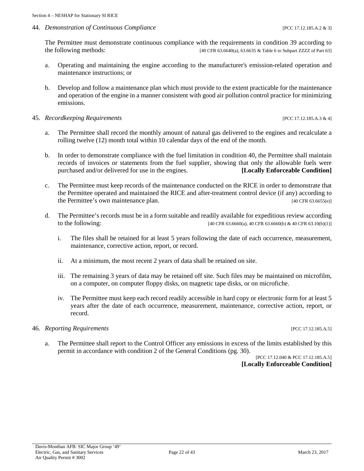#### 44. *Demonstration of Continuous Compliance* [PCC 17.12.185.A.2 & 3]

The Permittee must demonstrate continuous compliance with the requirements in condition 39 according to the following methods: [40 CFR 63.6640(a), 63.6635 & Table 6 to Subpart ZZZZ of Part 63]

- a. Operating and maintaining the engine according to the manufacturer's emission-related operation and maintenance instructions; or
- b. Develop and follow a maintenance plan which must provide to the extent practicable for the maintenance and operation of the engine in a manner consistent with good air pollution control practice for minimizing emissions.

#### 45. *Recordkeeping Requirements* [PCC 17.12.185.A.3 & 4]

- a. The Permittee shall record the monthly amount of natural gas delivered to the engines and recalculate a rolling twelve (12) month total within 10 calendar days of the end of the month.
- b. In order to demonstrate compliance with the fuel limitation in condition 40, the Permittee shall maintain records of invoices or statements from the fuel supplier, showing that only the allowable fuels were purchased and/or delivered for use in the engines. **[Locally Enforceable Condition]**
- c. The Permittee must keep records of the maintenance conducted on the RICE in order to demonstrate that the Permittee operated and maintained the RICE and after-treatment control device (if any) according to the Permittee's own maintenance plan. [40 CFR 63.6655(e)]
- d. The Permittee's records must be in a form suitable and readily available for expeditious review according to the following: [40 CFR 63.6660(a), 40 CFR 63.6660(b) & 40 CFR 63.10(b)(1)]
	- i. The files shall be retained for at least 5 years following the date of each occurrence, measurement, maintenance, corrective action, report, or record.
	- ii. At a minimum, the most recent 2 years of data shall be retained on site.
	- iii. The remaining 3 years of data may be retained off site. Such files may be maintained on microfilm, on a computer, on computer floppy disks, on magnetic tape disks, or on microfiche.
	- iv. The Permittee must keep each record readily accessible in hard copy or electronic form for at least 5 years after the date of each occurrence, measurement, maintenance, corrective action, report, or record.

#### 46. *Reporting Requirements* [PCC 17.12.185.A.5]

a. The Permittee shall report to the Control Officer any emissions in excess of the limits established by this permit in accordance with condition 2 of the General Conditions (pg. 30).

[PCC 17.12.040 & PCC 17.12.185.A.5] **[Locally Enforceable Condition]**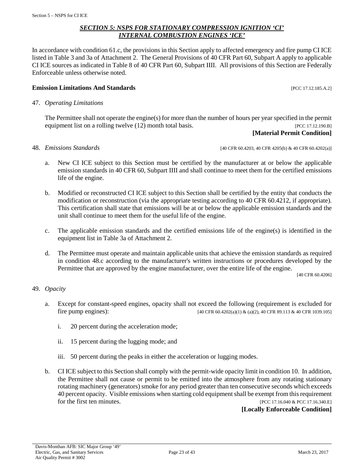#### *SECTION 5: NSPS FOR STATIONARY COMPRESSION IGNITION 'CI' INTERNAL COMBUSTION ENGINES 'ICE'*

<span id="page-22-0"></span>In accordance with condition 61.c, the provisions in this Section apply to affected emergency and fire pump CI ICE listed in Table 3 and 3a of Attachment 2. The General Provisions of 40 CFR Part 60, Subpart A apply to applicable CI ICE sources as indicated in Table 8 of 40 CFR Part 60, Subpart IIII. All provisions of this Section are Federally Enforceable unless otherwise noted.

#### **Emission Limitations And Standards Emission Limitations And Standards Exercíses Exercíses Exercíses Exercíses**

47. *Operating Limitations*

The Permittee shall not operate the engine(s) for more than the number of hours per year specified in the permit equipment list on a rolling twelve (12) month total basis. [PCC 17.12.190.B]

# **[Material Permit Condition]**

48. *Emissions Standards* [40 CFR 60.4203, 40 CFR 4205(b) & 40 CFR 60.4202(a)]

- a. New CI ICE subject to this Section must be certified by the manufacturer at or below the applicable emission standards in 40 CFR 60, Subpart IIII and shall continue to meet them for the certified emissions life of the engine.
- b. Modified or reconstructed CI ICE subject to this Section shall be certified by the entity that conducts the modification or reconstruction (via the appropriate testing according to 40 CFR 60.4212, if appropriate). This certification shall state that emissions will be at or below the applicable emission standards and the unit shall continue to meet them for the useful life of the engine.
- c. The applicable emission standards and the certified emissions life of the engine(s) is identified in the equipment list in Table 3a of Attachment 2.
- d. The Permittee must operate and maintain applicable units that achieve the emission standards as required in condition 48.c according to the manufacturer's written instructions or procedures developed by the Permittee that are approved by the engine manufacturer, over the entire life of the engine.

[40 CFR 60.4206]

#### 49. *Opacity*

- a. Except for constant-speed engines, opacity shall not exceed the following (requirement is excluded for fire pump engines): [40 CFR 60.4202(a)(1) & (a)(2), 40 CFR 89.113 & 40 CFR 1039.105]
	- i. 20 percent during the acceleration mode;
	- ii. 15 percent during the lugging mode; and
	- iii. 50 percent during the peaks in either the acceleration or lugging modes.
- b. CI ICE subject to this Section shall comply with the permit-wide opacity limit in condition 10. In addition, the Permittee shall not cause or permit to be emitted into the atmosphere from any rotating stationary rotating machinery (generators) smoke for any period greater than ten consecutive seconds which exceeds 40 percent opacity. Visible emissions when starting cold equipment shall be exempt from this requirement for the first ten minutes. [PCC 17.16.040 & PCC 17.16.340.E]

**[Locally Enforceable Condition]**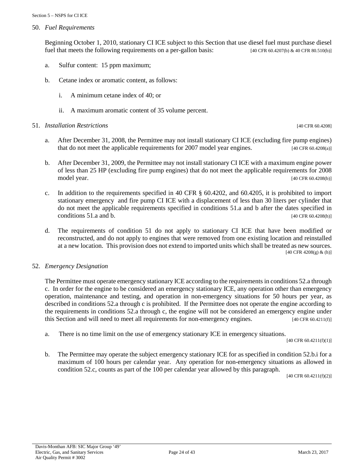50. *Fuel Requirements*

Beginning October 1, 2010, stationary CI ICE subject to this Section that use diesel fuel must purchase diesel fuel that meets the following requirements on a per-gallon basis:  $[40 \text{ CFR } 60.4207 \text{ (b)} \& 40 \text{ CFR } 80.510 \text{ (b)}]$ 

- a. Sulfur content: 15 ppm maximum;
- b. Cetane index or aromatic content, as follows:
	- i. A minimum cetane index of 40; or
	- ii. A maximum aromatic content of 35 volume percent.
- 51. *Installation Restrictions* [40 CFR 60.4208]

- a. After December 31, 2008, the Permittee may not install stationary CI ICE (excluding fire pump engines) that do not meet the applicable requirements for 2007 model year engines. [40 CFR 60.4208(a)]
- b. After December 31, 2009, the Permittee may not install stationary CI ICE with a maximum engine power of less than 25 HP (excluding fire pump engines) that do not meet the applicable requirements for 2008 model year. [40 CFR 60.4208(b)] [40 CFR 60.4208(b)]
- c. In addition to the requirements specified in 40 CFR § 60.4202, and 60.4205, it is prohibited to import stationary emergency and fire pump CI ICE with a displacement of less than 30 liters per cylinder that do not meet the applicable requirements specified in conditions 51.a and b after the dates specified in conditions 51.a and b.  $[40 \text{ CFR } 60.4208 \text{(h)}]$
- d. The requirements of condition 51 do not apply to stationary CI ICE that have been modified or reconstructed, and do not apply to engines that were removed from one existing location and reinstalled at a new location. This provision does not extend to imported units which shall be treated as new sources. [40 CFR 4208(g) & (h)]

#### 52. *Emergency Designation*

The Permittee must operate emergency stationary ICE according to the requirements in conditions 52.a through c. In order for the engine to be considered an emergency stationary ICE, any operation other than emergency operation, maintenance and testing, and operation in non-emergency situations for 50 hours per year, as described in conditions 52.a through c is prohibited. If the Permittee does not operate the engine according to the requirements in conditions 52.a through c, the engine will not be considered an emergency engine under this Section and will need to meet all requirements for non-emergency engines. [40 CFR 60.4211(f)]

a. There is no time limit on the use of emergency stationary ICE in emergency situations.

[40 CFR 60.4211(f)(1)]

b. The Permittee may operate the subject emergency stationary ICE for as specified in condition 52.b.i for a maximum of 100 hours per calendar year. Any operation for non-emergency situations as allowed in condition 52.c, counts as part of the 100 per calendar year allowed by this paragraph.

[40 CFR 60.4211(f)(2)]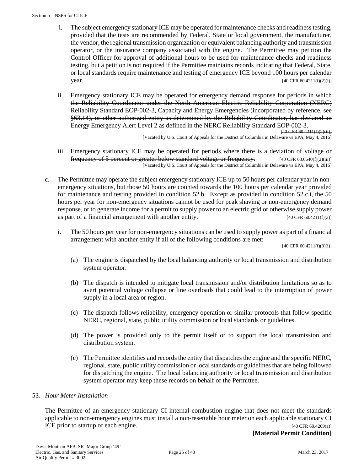- i. The subject emergency stationary ICE may be operated for maintenance checks and readiness testing, provided that the tests are recommended by Federal, State or local government, the manufacturer, the vendor, the regional transmission organization or equivalent balancing authority and transmission operator, or the insurance company associated with the engine. The Permittee may petition the Control Officer for approval of additional hours to be used for maintenance checks and readiness testing, but a petition is not required if the Permittee maintains records indicating that Federal, State, or local standards require maintenance and testing of emergency ICE beyond 100 hours per calendar **year.** [40 CFR 60.4211(f)(2)(i)]
- ii. Emergency stationary ICE may be operated for emergency demand response for periods in which the Reliability Coordinator under the North American Electric Reliability Corporation (NERC) Reliability Standard EOP-002-3, Capacity and Energy Emergencies (incorporated by reference, see §63.14), or other authorized entity as determined by the Reliability Coordinator, has declared an Energy Emergency Alert Level 2 as defined in the NERC Reliability Standard EOP-002-3. [40 CFR 60.4211(f)(2)(ii)]

[Vacated by U.S. Court of Appeals for the District of Columbia in Delaware vs EPA, May 4, 2016]

- iii. Emergency stationary ICE may be operated for periods where there is a deviation of voltage or frequency of 5 percent or greater below standard voltage or frequency. [40 CFR 63.6640(f)(2)(iii)] [Vacated by U.S. Court of Appeals for the District of Columbia in Delaware vs EPA, May 4, 2016]
- c. The Permittee may operate the subject emergency stationary ICE up to 50 hours per calendar year in nonemergency situations, but those 50 hours are counted towards the 100 hours per calendar year provided for maintenance and testing provided in condition 52.b. Except as provided in condition 52.c.i, the 50 hours per year for non-emergency situations cannot be used for peak shaving or non-emergency demand response, or to generate income for a permit to supply power to an electric grid or otherwise supply power as part of a financial arrangement with another entity.  $[40 \text{ CFR } 60.4211 \text{ (f)}(3)]$ 
	- i. The 50 hours per year for non-emergency situations can be used to supply power as part of a financial arrangement with another entity if all of the following conditions are met:

[40 CFR 60.4211(f)(3)(i)]

- (a) The engine is dispatched by the local balancing authority or local transmission and distribution system operator.
- (b) The dispatch is intended to mitigate local transmission and/or distribution limitations so as to avert potential voltage collapse or line overloads that could lead to the interruption of power supply in a local area or region.
- (c) The dispatch follows reliability, emergency operation or similar protocols that follow specific NERC, regional, state, public utility commission or local standards or guidelines.
- (d) The power is provided only to the permit itself or to support the local transmission and distribution system.
- (e) The Permittee identifies and records the entity that dispatches the engine and the specific NERC, regional, state, public utility commission or local standards or guidelines that are being followed for dispatching the engine. The local balancing authority or local transmission and distribution system operator may keep these records on behalf of the Permittee.

#### 53. *Hour Meter Installation*

The Permittee of an emergency stationary CI internal combustion engine that does not meet the standards applicable to non-emergency engines must install a non-resettable hour meter on each applicable stationary CI ICE prior to startup of each engine. [40 CFR 60.4209(a)]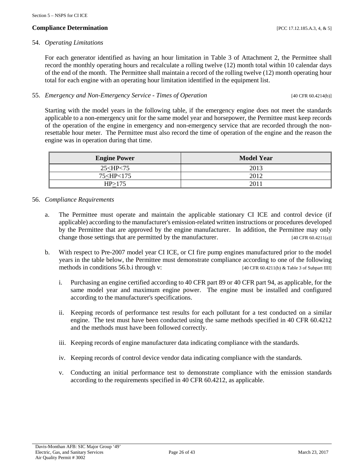#### **Compliance Determination** [PCC 17.12.185.A.3, 4, & 5]

#### 54. *Operating Limitations*

For each generator identified as having an hour limitation in Table 3 of Attachment 2, the Permittee shall record the monthly operating hours and recalculate a rolling twelve (12) month total within 10 calendar days of the end of the month. The Permittee shall maintain a record of the rolling twelve (12) month operating hour total for each engine with an operating hour limitation identified in the equipment list.

#### 55. *Emergency and Non-Emergency Service - Times of Operation* [40 CFR 60.4214(b)]

Starting with the model years in the following table, if the emergency engine does not meet the standards applicable to a non-emergency unit for the same model year and horsepower, the Permittee must keep records of the operation of the engine in emergency and non-emergency service that are recorded through the nonresettable hour meter. The Permittee must also record the time of operation of the engine and the reason the engine was in operation during that time.

| <b>Engine Power</b>                       | <b>Model Year</b> |
|-------------------------------------------|-------------------|
| $25<$ HP $<$ 75                           | 2013              |
| 75 <hp<175< td=""><td>2012</td></hp<175<> | 2012              |
| HP\175                                    | 2011              |

#### 56. *Compliance Requirements*

- a. The Permittee must operate and maintain the applicable stationary CI ICE and control device (if applicable) according to the manufacturer's emission-related written instructions or procedures developed by the Permittee that are approved by the engine manufacturer. In addition, the Permittee may only change those settings that are permitted by the manufacturer. [40 CFR 60.4211(a)]
- b. With respect to Pre-2007 model year CI ICE, or CI fire pump engines manufactured prior to the model years in the table below, the Permittee must demonstrate compliance according to one of the following methods in conditions 56.b.i through v: [40 CFR 60.4211(b) & Table 3 of Subpart IIII]
	- i. Purchasing an engine certified according to 40 CFR part 89 or 40 CFR part 94, as applicable, for the same model year and maximum engine power. The engine must be installed and configured according to the manufacturer's specifications.
	- ii. Keeping records of performance test results for each pollutant for a test conducted on a similar engine. The test must have been conducted using the same methods specified in 40 CFR 60.4212 and the methods must have been followed correctly.
	- iii. Keeping records of engine manufacturer data indicating compliance with the standards.
	- iv. Keeping records of control device vendor data indicating compliance with the standards.
	- v. Conducting an initial performance test to demonstrate compliance with the emission standards according to the requirements specified in 40 CFR 60.4212, as applicable.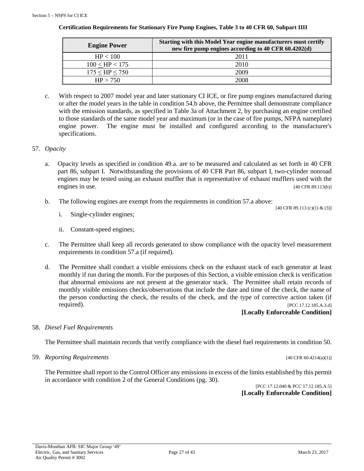| <b>Engine Power</b>       | Starting with this Model Year engine manufacturers must certify<br>new fire pump engines according to 40 CFR 60.4202(d) |
|---------------------------|-------------------------------------------------------------------------------------------------------------------------|
| HP < 100                  | 2011                                                                                                                    |
| $100 <$ HP $< 175$        | 2010                                                                                                                    |
| $175 \leq H$ P $\leq 750$ | 2009                                                                                                                    |

# **Certification Requirements for Stationary Fire Pump Engines, Table 3 to 40 CFR 60, Subpart IIII**

 $HP > 750$  2008

c. With respect to 2007 model year and later stationary CI ICE, or fire pump engines manufactured during or after the model years in the table in condition 54.b above, the Permittee shall demonstrate compliance with the emission standards, as specified in Table 3a of Attachment 2, by purchasing an engine certified to those standards of the same model year and maximum (or in the case of fire pumps, NFPA nameplate) engine power. The engine must be installed and configured according to the manufacturer's specifications.

# 57. *Opacity*

- a. Opacity levels as specified in condition 49.a. are to be measured and calculated as set forth in 40 CFR part 86, subpart I. Notwithstanding the provisions of 40 CFR Part 86, subpart I, two-cylinder nonroad engines may be tested using an exhaust muffler that is representative of exhaust mufflers used with the engines in use. [40 CFR 89.113(b)]
- b. The following engines are exempt from the requirements in condition 57.a above:

[40 CFR 89.113 (c)(1) & (3)]

- i. Single-cylinder engines;
- ii. Constant-speed engines;
- c. The Permittee shall keep all records generated to show compliance with the opacity level measurement requirements in condition 57.a (if required).
- d. The Permittee shall conduct a visible emissions check on the exhaust stack of each generator at least monthly if run during the month. For the purposes of this Section, a visible emission check is verification that abnormal emissions are not present at the generator stack. The Permittee shall retain records of monthly visible emissions checks/observations that include the date and time of the check, the name of the person conducting the check, the results of the check, and the type of corrective action taken (if **required).** [PCC 17.12.185.A.3.d]

**[Locally Enforceable Condition]**

# 58. *Diesel Fuel Requirements*

The Permittee shall maintain records that verify compliance with the diesel fuel requirements in condition 50.

59. *Reporting Requirements* [40 CFR 60.4214(a)(1)]

The Permittee shall report to the Control Officer any emissions in excess of the limits established by this permit in accordance with condition 2 of the General Conditions (pg. 30).

[PCC 17.12.040 & PCC 17.12.185.A.5] **[Locally Enforceable Condition]**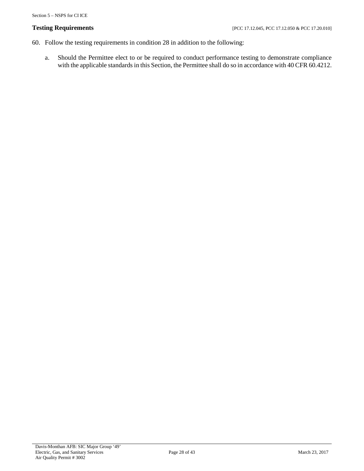- 60. Follow the testing requirements in condition 28 in addition to the following:
	- a. Should the Permittee elect to or be required to conduct performance testing to demonstrate compliance with the applicable standards in this Section, the Permittee shall do so in accordance with 40 CFR 60.4212.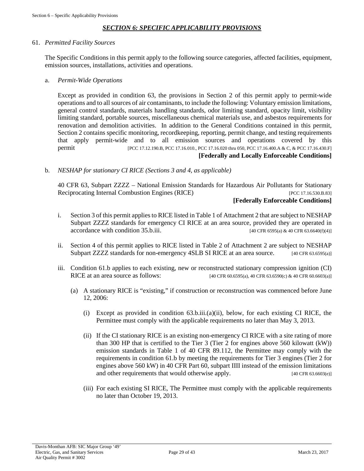# *SECTION 6: SPECIFIC APPLICABILITY PROVISIONS*

#### <span id="page-28-0"></span>61. *Permitted Facility Sources*

The Specific Conditions in this permit apply to the following source categories, affected facilities, equipment, emission sources, installations, activities and operations.

#### a. *Permit-Wide Operations*

Except as provided in condition 63, the provisions in Section 2 of this permit apply to permit-wide operations and to all sources of air contaminants, to include the following: Voluntary emission limitations, general control standards, materials handling standards, odor limiting standard, opacity limit, visibility limiting standard, portable sources, miscellaneous chemical materials use, and asbestos requirements for renovation and demolition activities. In addition to the General Conditions contained in this permit, Section 2 contains specific monitoring, recordkeeping, reporting, permit change, and testing requirements that apply permit-wide and to all emission sources and operations covered by this permit [PCC 17.12.190.B, PCC 17.16.010., PCC 17.16.020 thru 050, PCC 17.16.400.A & C, & PCC 17.16.430.F]

#### **[Federally and Locally Enforceable Conditions]**

b. *NESHAP for stationary CI RICE (Sections 3 and 4, as applicable)*

40 CFR 63, Subpart ZZZZ – National Emission Standards for Hazardous Air Pollutants for Stationary Reciprocating Internal Combustion Engines (RICE) [PCC 17.16.530.B.83]

#### **[Federally Enforceable Conditions]**

- i. Section 3 of this permit applies to RICE listed in Table 1 of Attachment 2 that are subject to NESHAP Subpart ZZZZ standards for emergency CI RICE at an area source, provided they are operated in  $\alpha$  accordance with condition 35.b.iii. [40 CFR 6595(a) & 40 CFR 63.6640(f)(4)]
- ii. Section 4 of this permit applies to RICE listed in Table 2 of Attachment 2 are subject to NESHAP Subpart ZZZZ standards for non-emergency 4SLB SI RICE at an area source. [40 CFR 63.6595(a)]
- iii. Condition 61.b applies to each existing, new or reconstructed stationary compression ignition (CI)<br>RICE at an area source as follows:  $[40 \text{ CFR } 60.6595(a), 40 \text{ CFR } 63.6590(c) \& 40 \text{ CFR } 60.6603(a)]$ [40 CFR 60.6595(a), 40 CFR 63.6590(c) & 40 CFR 60.6603(a)]
	- (a) A stationary RICE is "existing," if construction or reconstruction was commenced before June 12, 2006:
		- (i) Except as provided in condition 63.b.iii.(a)(ii), below, for each existing CI RICE, the Permittee must comply with the applicable requirements no later than May 3, 2013.
		- (ii) If the CI stationary RICE is an existing non-emergency CI RICE with a site rating of more than 300 HP that is certified to the Tier 3 (Tier 2 for engines above 560 kilowatt (kW)) emission standards in Table 1 of 40 CFR 89.112, the Permittee may comply with the requirements in condition 61.b by meeting the requirements for Tier 3 engines (Tier 2 for engines above 560 kW) in 40 CFR Part 60, subpart IIII instead of the emission limitations and other requirements that would otherwise apply. [40 CFR 63.6603(e)]
		- (iii) For each existing SI RICE, The Permittee must comply with the applicable requirements no later than October 19, 2013.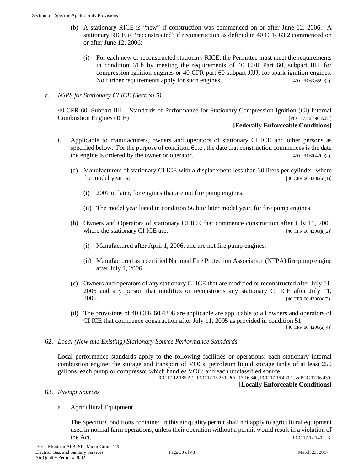- (b) A stationary RICE is "new" if construction was commenced on or after June 12, 2006. A stationary RICE is "reconstructed" if reconstruction as defined in 40 CFR 63.2 commenced on or after June 12, 2006:
	- (i) For each new or reconstructed stationary RICE, the Permittee must meet the requirements in condition 61.b by meeting the requirements of 40 CFR Part 60, subpart IIII, for compression ignition engines or 40 CFR part 60 subpart JJJJ, for spark ignition engines. No further requirements apply for such engines. [40 CFR 63.6590(c)]

#### c. *NSPS for Stationary CI ICE (Section 5)*

40 CFR 60, Subpart IIII – Standards of Performance for Stationary Compression Ignition (CI) Internal Combustion Engines (ICE) [PCC 17.16.490.A.81]

#### **[Federally Enforceable Conditions]**

- i. Applicable to manufacturers, owners and operators of stationary CI ICE and other persons as specified below. For the purpose of condition 61.c , the date that construction commences is the date the engine is ordered by the owner or operator. [40 CFR 60.4200(a)]
	- (a) Manufacturers of stationary CI ICE with a displacement less than 30 liters per cylinder, where the model year is:  $[40 \text{ CFR } 60.4200(a)(1)]$ 
		- (i) 2007 or later, for engines that are not fire pump engines.
		- (ii) The model year listed in condition 56.b or later model year, for fire pump engines.
	- (b) Owners and Operators of stationary CI ICE that commence construction after July 11, 2005 where the stationary CI ICE are:  $[40 \text{ CFR } 60.4200(a/2)]$ 
		- (i) Manufactured after April 1, 2006, and are not fire pump engines.
		- (ii) Manufactured as a certified National Fire Protection Association (NFPA) fire pump engine after July 1, 2006
	- (c) Owners and operators of any stationary CI ICE that are modified or reconstructed after July 11, 2005 and any person that modifies or reconstructs any stationary CI ICE after July 11, 2005. [40 CFR 60.4200(a)(3)]
	- (d) The provisions of 40 CFR 60.4208 are applicable are applicable to all owners and operators of CI ICE that commence construction after July 11, 2005 as provided in condition 51.

[40 CFR 60.4200(a)(4)]

62. *Local (New and Existing) Stationary Source Performance Standards*

Local performance standards apply to the following facilities or operations: each stationary internal combustion engine; the storage and transport of VOCs, petroleum liquid storage tanks of at least 250 gallons, each pump or compressor which handles VOC; and each unclassified source.

[PCC 17.12.185.A.2, PCC 17.16.230, PCC 17.16.340, PCC 17.16.400.C, & PCC 17.16.430] **[Locally Enforceable Conditions]**

63. *Exempt Sources*

#### a. Agricultural Equipment

The Specific Conditions contained in this air quality permit shall not apply to agricultural equipment used in normal farm operations, unless their operation without a permit would result in a violation of the Act. [PCC 17.12.140.C.3]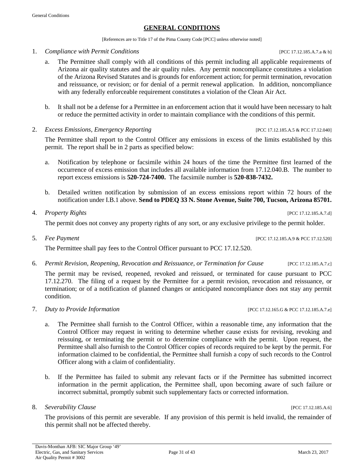#### **GENERAL CONDITIONS**

[References are to Title 17 of the Pima County Code [PCC] unless otherwise noted]

1. *Compliance with Permit Conditions* [PCC 17.12.185.A.7.a & b]

General Conditions

- a. The Permittee shall comply with all conditions of this permit including all applicable requirements of Arizona air quality statutes and the air quality rules. Any permit noncompliance constitutes a violation of the Arizona Revised Statutes and is grounds for enforcement action; for permit termination, revocation and reissuance, or revision; or for denial of a permit renewal application. In addition, noncompliance with any federally enforceable requirement constitutes a violation of the Clean Air Act.
- b. It shall not be a defense for a Permittee in an enforcement action that it would have been necessary to halt or reduce the permitted activity in order to maintain compliance with the conditions of this permit.
- 2. *Excess Emissions, Emergency Reporting* [PCC 17.12.185.A.5 & PCC 17.12.040]

The Permittee shall report to the Control Officer any emissions in excess of the limits established by this permit. The report shall be in 2 parts as specified below:

- a. Notification by telephone or facsimile within 24 hours of the time the Permittee first learned of the occurrence of excess emission that includes all available information from 17.12.040.B. The number to report excess emissions is **520-724-7400.** The facsimile number is **520-838-7432.**
- b. Detailed written notification by submission of an excess emissions report within 72 hours of the notification under I.B.1 above. **Send to PDEQ 33 N. Stone Avenue, Suite 700, Tucson, Arizona 85701.**
- 4. *Property Rights* [PCC 17.12.185.A.7.d]

The permit does not convey any property rights of any sort, or any exclusive privilege to the permit holder.

The Permittee shall pay fees to the Control Officer pursuant to PCC 17.12.520.

6. *Permit Revision, Reopening, Revocation and Reissuance, or Termination for Cause* [PCC 17.12.185.A.7.c]

The permit may be revised, reopened, revoked and reissued, or terminated for cause pursuant to PCC 17.12.270. The filing of a request by the Permittee for a permit revision, revocation and reissuance, or termination; or of a notification of planned changes or anticipated noncompliance does not stay any permit condition.

- 7. *Duty to Provide Information* [PCC 17.12.165.G & PCC 17.12.185.A.7.e]
	- a. The Permittee shall furnish to the Control Officer, within a reasonable time, any information that the Control Officer may request in writing to determine whether cause exists for revising, revoking and reissuing, or terminating the permit or to determine compliance with the permit. Upon request, the Permittee shall also furnish to the Control Officer copies of records required to be kept by the permit. For information claimed to be confidential, the Permittee shall furnish a copy of such records to the Control Officer along with a claim of confidentiality.
	- b. If the Permittee has failed to submit any relevant facts or if the Permittee has submitted incorrect information in the permit application, the Permittee shall, upon becoming aware of such failure or incorrect submittal, promptly submit such supplementary facts or corrected information.
- 8. *Severability Clause* [PCC 17.12.185.A.6]

The provisions of this permit are severable. If any provision of this permit is held invalid, the remainder of this permit shall not be affected thereby.

5. *Fee Payment* [PCC 17.12.185.A.9 & PCC 17.12.520]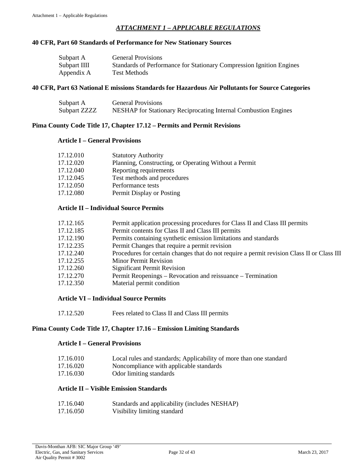# *ATTACHMENT 1 – APPLICABLE REGULATIONS*

#### <span id="page-31-0"></span>**40 CFR, Part 60 Standards of Performance for New Stationary Sources**

| Subpart A    | <b>General Provisions</b>                                            |
|--------------|----------------------------------------------------------------------|
| Subpart IIII | Standards of Performance for Stationary Compression Ignition Engines |
| Appendix A   | Test Methods                                                         |

#### **40 CFR, Part 63 National E missions Standards for Hazardous Air Pollutants for Source Categories**

| Subpart A    | <b>General Provisions</b>                                       |
|--------------|-----------------------------------------------------------------|
| Subpart ZZZZ | NESHAP for Stationary Reciprocating Internal Combustion Engines |

#### **Pima County Code Title 17, Chapter 17.12 – Permits and Permit Revisions**

#### **Article I – General Provisions**

| 17.12.010 | <b>Statutory Authority</b>                            |
|-----------|-------------------------------------------------------|
| 17.12.020 | Planning, Constructing, or Operating Without a Permit |
| 17.12.040 | Reporting requirements                                |
| 17.12.045 | Test methods and procedures                           |
| 17.12.050 | Performance tests                                     |
| 17.12.080 | Permit Display or Posting                             |

#### **Article II – Individual Source Permits**

| 17.12.165 | Permit application processing procedures for Class II and Class III permits                |
|-----------|--------------------------------------------------------------------------------------------|
| 17.12.185 | Permit contents for Class II and Class III permits                                         |
| 17.12.190 | Permits containing synthetic emission limitations and standards                            |
| 17.12.235 | Permit Changes that require a permit revision                                              |
| 17.12.240 | Procedures for certain changes that do not require a permit revision Class II or Class III |
| 17.12.255 | <b>Minor Permit Revision</b>                                                               |
| 17.12.260 | <b>Significant Permit Revision</b>                                                         |
| 17.12.270 | Permit Reopenings – Revocation and reissuance – Termination                                |
| 17.12.350 | Material permit condition                                                                  |

#### **Article VI – Individual Source Permits**

| 17.12.520 | Fees related to Class II and Class III permits |
|-----------|------------------------------------------------|
|-----------|------------------------------------------------|

#### **Pima County Code Title 17, Chapter 17.16 – Emission Limiting Standards**

#### **Article I – General Provisions**

| 17.16.010 | Local rules and standards; Applicability of more than one standard |  |  |  |  |  |  |
|-----------|--------------------------------------------------------------------|--|--|--|--|--|--|
|           |                                                                    |  |  |  |  |  |  |

- 17.16.020 Noncompliance with applicable standards
- 17.16.030 Odor limiting standards

#### **Article II – Visible Emission Standards**

| 17.16.040 | Standards and applicability (includes NESHAP) |
|-----------|-----------------------------------------------|
| 17.16.050 | Visibility limiting standard                  |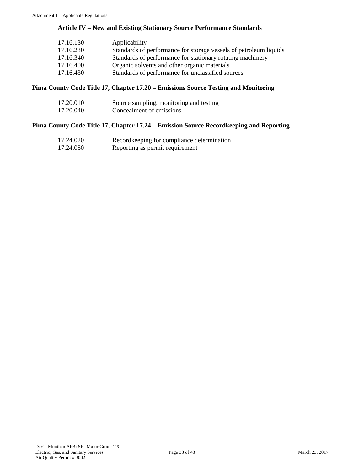# **Article IV – New and Existing Stationary Source Performance Standards**

| 17.16.130 | Applicability                                                     |
|-----------|-------------------------------------------------------------------|
| 17.16.230 | Standards of performance for storage vessels of petroleum liquids |
| 17.16.340 | Standards of performance for stationary rotating machinery        |
| 17.16.400 | Organic solvents and other organic materials                      |
| 17.16.430 | Standards of performance for unclassified sources                 |

# **Pima County Code Title 17, Chapter 17.20 – Emissions Source Testing and Monitoring**

| 17.20.010 | Source sampling, monitoring and testing |
|-----------|-----------------------------------------|
| 17.20.040 | Concealment of emissions                |

# **Pima County Code Title 17, Chapter 17.24 – Emission Source Recordkeeping and Reporting**

| 17.24.020 | Recordkeeping for compliance determination |
|-----------|--------------------------------------------|
| 17.24.050 | Reporting as permit requirement            |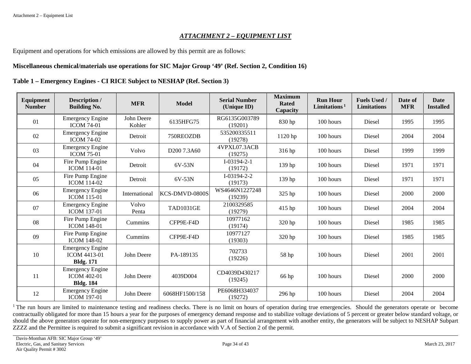### *ATTACHMENT 2 – EQUIPMENT LIST*

Equipment and operations for which emissions are allowed by this permit are as follows:

#### **Miscellaneous chemical/materials use operations for SIC Major Group '49' (Ref. Section 2, Condition 16)**

### **Table 1 – Emergency Engines - CI RICE Subject to NESHAP (Ref. Section 3)**

<span id="page-33-0"></span>

| Equipment<br><b>Number</b> | Description /<br><b>Building No.</b>                               | <b>MFR</b>           | <b>Model</b>            | <b>Serial Number</b><br>(Unique ID) | <b>Maximum</b><br><b>Rated</b><br>Capacity | <b>Run Hour</b><br>Limitations $1$ | <b>Fuels Used /</b><br><b>Limitations</b> | Date of<br><b>MFR</b> | <b>Date</b><br><b>Installed</b> |
|----------------------------|--------------------------------------------------------------------|----------------------|-------------------------|-------------------------------------|--------------------------------------------|------------------------------------|-------------------------------------------|-----------------------|---------------------------------|
| 01                         | <b>Emergency Engine</b><br><b>ICOM 74-01</b>                       | John Deere<br>Kohler | 6135HFG75               | RG6135G003789<br>(19201)            | 830 hp                                     | 100 hours                          | Diesel                                    | 1995                  | 1995                            |
| 02                         | <b>Emergency Engine</b><br><b>ICOM 74-02</b>                       | Detroit              | 750REOZDB               | 535200335511<br>(19278)             | 1120 hp                                    | 100 hours                          | Diesel                                    | 2004                  | 2004                            |
| 03                         | <b>Emergency Engine</b><br><b>ICOM 75-01</b>                       | Volvo                | D <sub>200</sub> 7.3A60 | 4VPXL07.3ACB<br>(19275)             | 316 hp                                     | 100 hours                          | Diesel                                    | 1999                  | 1999                            |
| 04                         | Fire Pump Engine<br><b>ICOM 114-01</b>                             | Detroit              | 6V-53N                  | $I-03194-2-1$<br>(19172)            | 139 hp                                     | 100 hours                          | Diesel                                    | 1971                  | 1971                            |
| 05                         | Fire Pump Engine<br><b>ICOM 114-02</b>                             | Detroit              | 6V-53N                  | $I-03194-2-2$<br>(19173)            | 139 hp                                     | 100 hours                          | Diesel                                    | 1971                  | 1971                            |
| 06                         | <b>Emergency Engine</b><br><b>ICOM 115-01</b>                      | International        | KCS-DMVD-0800S          | WS4646N1227248<br>(19239)           | 325 hp                                     | 100 hours                          | Diesel                                    | 2000                  | 2000                            |
| 07                         | <b>Emergency Engine</b><br><b>ICOM 137-01</b>                      | Volvo<br>Penta       | <b>TAD1031GE</b>        | 2100329585<br>(19279)               | 415 hp                                     | 100 hours                          | Diesel                                    | 2004                  | 2004                            |
| 08                         | Fire Pump Engine<br><b>ICOM 148-01</b>                             | Cummins              | CFP9E-F4D               | 10977162<br>(19174)                 | 320 hp                                     | 100 hours                          | Diesel                                    | 1985                  | 1985                            |
| 09                         | Fire Pump Engine<br><b>ICOM 148-02</b>                             | Cummins              | CFP9E-F4D               | 10977127<br>(19303)                 | 320 hp                                     | 100 hours                          | Diesel                                    | 1985                  | 1985                            |
| 10                         | <b>Emergency Engine</b><br><b>ICOM 4413-01</b><br><b>Bldg. 171</b> | John Deere           | PA-189135               | 702733<br>(19226)                   | 58 hp                                      | 100 hours                          | Diesel                                    | 2001                  | 2001                            |
| 11                         | <b>Emergency Engine</b><br><b>ICOM 402-01</b><br><b>Bldg. 184</b>  | John Deere           | 4039D004                | CD4039D430217<br>(19245)            | 66 hp                                      | $100$ hours                        | Diesel                                    | 2000                  | 2000                            |
| 12                         | <b>Emergency Engine</b><br><b>ICOM 197-01</b>                      | John Deere           | 6068HF1500/158          | PE6068H334037<br>(19272)            | 296 hp                                     | 100 hours                          | Diesel                                    | 2004                  | 2004                            |

<sup>1</sup> The run hours are limited to maintenance testing and readiness checks. There is no limit on hours of operation during true emergencies. Should the generators operate or become contractually obligated for more than 15 hours a year for the purposes of emergency demand response and to stabilize voltage deviations of 5 percent or greater below standard voltage, or should the above generators operate for non-emergency purposes to supply power as part of financial arrangement with another entity, the generators will be subject to NESHAP Subpart ZZZZ and the Permittee is required to submit a significant revision in accordance with V.A of Section 2 of the permit.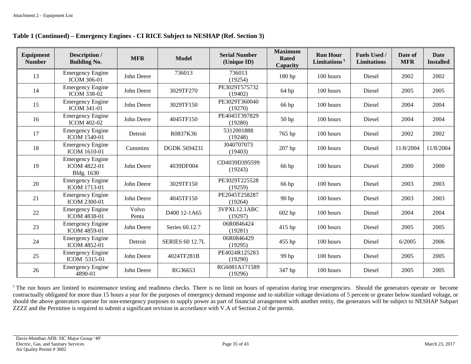| Table 1 (Continued) – Emergency Engines - CI RICE Subject to NESHAP (Ref. Section 3) |  |  |
|--------------------------------------------------------------------------------------|--|--|
|--------------------------------------------------------------------------------------|--|--|

| Equipment<br><b>Number</b> | Description /<br><b>Building No.</b>                         | <b>MFR</b>     | <b>Model</b>           | <b>Serial Number</b><br>(Unique ID) | <b>Maximum</b><br><b>Rated</b><br>Capacity | <b>Run Hour</b><br>Limitations <sup>1</sup> | <b>Fuels Used /</b><br><b>Limitations</b> | Date of<br><b>MFR</b> | Date<br><b>Installed</b> |
|----------------------------|--------------------------------------------------------------|----------------|------------------------|-------------------------------------|--------------------------------------------|---------------------------------------------|-------------------------------------------|-----------------------|--------------------------|
| 13                         | <b>Emergency Engine</b><br><b>ICOM 306-01</b>                | John Deere     | 736013                 | 736013<br>(19254)                   | 180 hp                                     | 100 hours                                   | <b>Diesel</b>                             | 2002                  | 2002                     |
| 14                         | <b>Emergency Engine</b><br><b>ICOM 338-02</b>                | John Deere     | 3029TF270              | PE3029T575732<br>(19402)            | 64 hp                                      | 100 hours                                   | Diesel                                    | 2005                  | 2005                     |
| 15                         | <b>Emergency Engine</b><br><b>ICOM 341-01</b>                | John Deere     | 3029TF150              | PE3029T360040<br>(19270)            | 66 hp                                      | 100 hours                                   | Diesel                                    | 2004                  | 2004                     |
| 16                         | <b>Emergency Engine</b><br><b>ICOM 402-02</b>                | John Deere     | 4045TF150              | PE4045T397829<br>(19280)            | $50$ hp                                    | 100 hours                                   | Diesel                                    | 2004                  | 2004                     |
| 17                         | <b>Emergency Engine</b><br><b>ICOM 1540-01</b>               | Detroit        | R0837K36               | 5312001888<br>(19248)               | 765 hp                                     | 100 hours                                   | Diesel                                    | 2002                  | 2002                     |
| 18                         | <b>Emergency Engine</b><br>ICOM 1610-01                      | Cummins        | <b>DGDK 5694231</b>    | J040707073<br>(19403)               | 207 hp                                     | 100 hours                                   | Diesel                                    | 11/8/2004             | 11/8/2004                |
| 19                         | <b>Emergency Engine</b><br><b>ICOM 4822-01</b><br>Bldg. 1630 | John Deere     | 4039DF004              | CD4039D395599<br>(19243)            | 66 hp                                      | 100 hours                                   | Diesel                                    | 2000                  | 2000                     |
| 20                         | <b>Emergency Engine</b><br><b>ICOM 1713-01</b>               | John Deere     | 3029TF150              | PE3029T225528<br>(19259)            | 66 hp                                      | 100 hours                                   | Diesel                                    | 2003                  | 2003                     |
| 21                         | <b>Emergency Engine</b><br><b>ICOM 2300-01</b>               | John Deere     | 4045TF150              | PE2045T258287<br>(19264)            | 90 hp                                      | 100 hours                                   | Diesel                                    | 2003                  | 2003                     |
| 22                         | <b>Emergency Engine</b><br><b>ICOM 4838-01</b>               | Volvo<br>Penta | D400 12-1A65           | 3VPXL12.1ABC<br>(19297)             | 602 hp                                     | 100 hours                                   | Diesel                                    | 2004                  | 2004                     |
| 23                         | <b>Emergency Engine</b><br><b>ICOM 4859-01</b>               | John Deere     | Series 60.12.7         | 06R0846424<br>(19281)               | 415 hp                                     | 100 hours                                   | Diesel                                    | 2005                  | 2005                     |
| 24                         | <b>Emergency Engine</b><br><b>ICOM 4852-01</b>               | Detroit        | <b>SERIES 60 12.7L</b> | 06R0846429<br>(19295)               | 455 hp                                     | 100 hours                                   | Diesel                                    | 6/2005                | 2006                     |
| 25                         | <b>Emergency Engine</b><br>ICOM 5315-01                      | John Deere     | 4024TF281B             | PE4024R125283<br>(19290)            | 99 hp                                      | 100 hours                                   | Diesel                                    | 2005                  | 2005                     |
| 26                         | <b>Emergency Engine</b><br>4890-01                           | John Deere     | RG36653                | RG6081A171589<br>(19296)            | 347 hp                                     | 100 hours                                   | Diesel                                    | 2005                  | 2005                     |

<sup>1</sup> The run hours are limited to maintenance testing and readiness checks. There is no limit on hours of operation during true emergencies. Should the generators operate or become contractually obligated for more than 15 hours a year for the purposes of emergency demand response and to stabilize voltage deviations of 5 percent or greater below standard voltage, or should the above generators operate for non-emergency purposes to supply power as part of financial arrangement with another entity, the generators will be subject to NESHAP Subpart ZZZZ and the Permittee is required to submit a significant revision in accordance with V.A of Section 2 of the permit.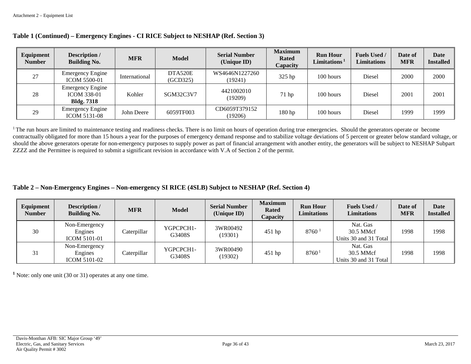| Equipment<br><b>Number</b> | Description /<br><b>Building No.</b>                               | <b>MFR</b>    | <b>Model</b>        | <b>Serial Number</b><br>(Unique ID) | <b>Maximum</b><br><b>Rated</b><br>Capacity | <b>Run Hour</b><br>Limitations <sup>1</sup> | <b>Fuels Used /</b><br><b>Limitations</b> | Date of<br><b>MFR</b> | <b>Date</b><br><b>Installed</b> |
|----------------------------|--------------------------------------------------------------------|---------------|---------------------|-------------------------------------|--------------------------------------------|---------------------------------------------|-------------------------------------------|-----------------------|---------------------------------|
| 27                         | <b>Emergency Engine</b><br><b>ICOM 5500-01</b>                     | International | DTA520E<br>(GCD325) | WS4646N1227260<br>(19241)           | 325 hp                                     | 100 hours                                   | Diesel                                    | 2000                  | 2000                            |
| 28                         | <b>Emergency Engine</b><br><b>ICOM 338-01</b><br><b>Bldg.</b> 7318 | Kohler        | SGM32C3V7           | 4421002010<br>(19209)               | 71 hp                                      | 100 hours                                   | Diesel                                    | 2001                  | 2001                            |
| 29                         | <b>Emergency Engine</b><br><b>ICOM 5131-08</b>                     | John Deere    | 6059TF003           | CD6059T379152<br>(19206)            | 180 hp                                     | 100 hours                                   | Diesel                                    | 1999                  | 1999                            |

#### **Table 1 (Continued) – Emergency Engines - CI RICE Subject to NESHAP (Ref. Section 3)**

<sup>1</sup> The run hours are limited to maintenance testing and readiness checks. There is no limit on hours of operation during true emergencies. Should the generators operate or become contractually obligated for more than 15 hours a year for the purposes of emergency demand response and to stabilize voltage deviations of 5 percent or greater below standard voltage, or should the above generators operate for non-emergency purposes to supply power as part of financial arrangement with another entity, the generators will be subject to NESHAP Subpart ZZZZ and the Permittee is required to submit a significant revision in accordance with V.A of Section 2 of the permit.

# **Table 2 – Non-Emergency Engines – Non-emergency SI RICE (4SLB) Subject to NESHAP (Ref. Section 4)**

| Equipment<br><b>Number</b> | Description /<br><b>Building No.</b>            | <b>MFR</b>  | <b>Model</b>        | <b>Serial Number</b><br>(Unique ID) | <b>Maximum</b><br><b>Rated</b><br>Capacity | <b>Run Hour</b><br>Limitations | <b>Fuels Used /</b><br><b>Limitations</b>      | Date of<br><b>MFR</b> | <b>Date</b><br><b>Installed</b> |
|----------------------------|-------------------------------------------------|-------------|---------------------|-------------------------------------|--------------------------------------------|--------------------------------|------------------------------------------------|-----------------------|---------------------------------|
| 30                         | Non-Emergency<br>Engines<br><b>ICOM 5101-01</b> | Caterpillar | YGPCPCH1-<br>G3408S | 3WR00492<br>(19301)                 | $451$ hp                                   | $8760$ <sup>1</sup>            | Nat. Gas<br>30.5 MMcf<br>Units 30 and 31 Total | 1998                  | 1998                            |
| 31                         | Non-Emergency<br>Engines<br><b>ICOM 5101-02</b> | Caterpillar | YGPCPCH1-<br>G3408S | 3WR00490<br>(19302)                 | 451 hp                                     | 8760                           | Nat. Gas<br>30.5 MMcf<br>Units 30 and 31 Total | 1998                  | 1998                            |

**<sup>1</sup>** Note: only one unit (30 or 31) operates at any one time.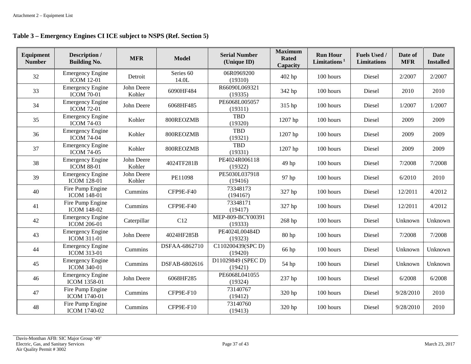| Equipment<br><b>Number</b> | Description /<br><b>Building No.</b>          | <b>MFR</b>           | <b>Model</b>                  | <b>Serial Number</b><br>(Unique ID) | <b>Maximum</b><br><b>Rated</b><br>Capacity | <b>Run Hour</b><br>Limitations $1$ | Fuels Used /<br><b>Limitations</b> | Date of<br><b>MFR</b> | <b>Date</b><br><b>Installed</b> |
|----------------------------|-----------------------------------------------|----------------------|-------------------------------|-------------------------------------|--------------------------------------------|------------------------------------|------------------------------------|-----------------------|---------------------------------|
| 32                         | <b>Emergency Engine</b><br><b>ICOM 12-01</b>  | Detroit              | Series <sub>60</sub><br>14.0L | 06R0969200<br>(19310)               | 402 hp                                     | 100 hours                          | Diesel                             | 2/2007                | 2/2007                          |
| 33                         | <b>Emergency Engine</b><br><b>ICOM 70-01</b>  | John Deere<br>Kohler | 6090HF484                     | R66090L069321<br>(19335)            | 342 hp                                     | 100 hours                          | Diesel                             | 2010                  | 2010                            |
| 34                         | <b>Emergency Engine</b><br><b>ICOM 72-01</b>  | John Deere           | 6068HF485                     | PE6068L005057<br>(19311)            | 315 hp                                     | 100 hours                          | Diesel                             | 1/2007                | 1/2007                          |
| 35                         | <b>Emergency Engine</b><br><b>ICOM 74-03</b>  | Kohler               | 800REOZMB                     | <b>TBD</b><br>(19320)               | 1207 hp                                    | 100 hours                          | Diesel                             | 2009                  | 2009                            |
| 36                         | <b>Emergency Engine</b><br><b>ICOM 74-04</b>  | Kohler               | 800REOZMB                     | TBD<br>(19321)                      | 1207 hp                                    | 100 hours                          | Diesel                             | 2009                  | 2009                            |
| 37                         | <b>Emergency Engine</b><br><b>ICOM 74-05</b>  | Kohler               | 800REOZMB                     | <b>TBD</b><br>(19331)               | 1207 hp                                    | 100 hours                          | Diesel                             | 2009                  | 2009                            |
| 38                         | <b>Emergency Engine</b><br><b>ICOM 88-01</b>  | John Deere<br>Kohler | 4024TF281B                    | PE4024R006118<br>(19322)            | 49 hp                                      | 100 hours                          | Diesel                             | 7/2008                | 7/2008                          |
| 39                         | <b>Emergency Engine</b><br><b>ICOM 128-01</b> | John Deere<br>Kohler | PE11098                       | PE5030L037918<br>(19416)            | 97 hp                                      | 100 hours                          | Diesel                             | 6/2010                | 2010                            |
| 40                         | Fire Pump Engine<br><b>ICOM 148-01</b>        | Cummins              | CFP9E-F40                     | 73348173<br>(19416?)                | 327 hp                                     | 100 hours                          | Diesel                             | 12/2011               | 4/2012                          |
| 41                         | Fire Pump Engine<br><b>ICOM 148-02</b>        | Cummins              | CFP9E-F40                     | 73348171<br>(19417)                 | 327 hp                                     | 100 hours                          | Diesel                             | 12/2011               | 4/2012                          |
| 42                         | <b>Emergency Engine</b><br><b>ICOM 206-01</b> | Caterpillar          | C12                           | MEP-809-BCY00391<br>(19333)         | 268 hp                                     | 100 hours                          | Diesel                             | Unknown               | Unknown                         |
| 43                         | <b>Emergency Engine</b><br><b>ICOM 311-01</b> | John Deere           | 4024HF285B                    | PE4024L00484D<br>(19323)            | 80 <sub>hp</sub>                           | 100 hours                          | Diesel                             | 7/2008                | 7/2008                          |
| 44                         | <b>Emergency Engine</b><br><b>ICOM 313-01</b> | Cummins              | DSFAA-6862710                 | C110200439(SPC D)<br>(19420)        | 66 hp                                      | 100 hours                          | Diesel                             | Unknown               | Unknown                         |
| 45                         | <b>Emergency Engine</b><br><b>ICOM 340-01</b> | Cummins              | DSFAB-6802616                 | D11029849 (SPEC D)<br>(19421)       | 54 hp                                      | 100 hours                          | Diesel                             | Unknown               | Unknown                         |
| 46                         | <b>Emergency Engine</b><br>ICOM 1358-01       | John Deere           | 6068HF285                     | PE6068L041055<br>(19324)            | 237 hp                                     | 100 hours                          | Diesel                             | 6/2008                | 6/2008                          |
| 47                         | Fire Pump Engine<br>ICOM 1740-01              | Cummins              | CFP9E-F10                     | 73140767<br>(19412)                 | 320 hp                                     | 100 hours                          | Diesel                             | 9/28/2010             | 2010                            |
| 48                         | Fire Pump Engine<br>ICOM 1740-02              | Cummins              | CFP9E-F10                     | 73140760<br>(19413)                 | 320 hp                                     | 100 hours                          | Diesel                             | 9/28/2010             | 2010                            |

# **Table 3 – Emergency Engines CI ICE subject to NSPS (Ref. Section 5)**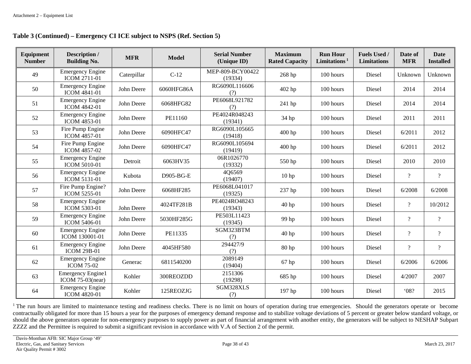| Equipment<br><b>Number</b> | Description /<br><b>Building No.</b>            | <b>MFR</b>  | <b>Model</b> | <b>Serial Number</b><br>(Unique ID) | <b>Maximum</b><br><b>Rated Capacity</b> | <b>Run Hour</b><br>Limitations $1$ | <b>Fuels Used /</b><br><b>Limitations</b> | Date of<br><b>MFR</b>    | <b>Date</b><br><b>Installed</b> |
|----------------------------|-------------------------------------------------|-------------|--------------|-------------------------------------|-----------------------------------------|------------------------------------|-------------------------------------------|--------------------------|---------------------------------|
| 49                         | <b>Emergency Engine</b><br><b>ICOM 2711-01</b>  | Caterpillar | $C-12$       | MEP-809-BCY00422<br>(19334)         | 268 hp                                  | 100 hours                          | Diesel                                    | Unknown                  | Unknown                         |
| 50                         | <b>Emergency Engine</b><br><b>ICOM 4841-01</b>  | John Deere  | 6060HFG86A   | RG6090L116606<br>(?)                | 402 hp                                  | 100 hours                          | Diesel                                    | 2014                     | 2014                            |
| 51                         | <b>Emergency Engine</b><br><b>ICOM 4842-01</b>  | John Deere  | 6068HFG82    | PE6068L921782<br>(?)                | 241 hp                                  | 100 hours                          | Diesel                                    | 2014                     | 2014                            |
| 52                         | <b>Emergency Engine</b><br>ICOM 4853-01         | John Deere  | PE11160      | PE4024R048243<br>(19341)            | 34 hp                                   | $100$ hours                        | Diesel                                    | 2011                     | 2011                            |
| 53                         | Fire Pump Engine<br><b>ICOM 4857-01</b>         | John Deere  | 6090HFC47    | RG6090L105665<br>(19418)            | 400 hp                                  | 100 hours                          | Diesel                                    | 6/2011                   | 2012                            |
| 54                         | Fire Pump Engine<br>ICOM 4857-02                | John Deere  | 6090HFC47    | RG6090L105694<br>(19419)            | 400 hp                                  | 100 hours                          | Diesel                                    | 6/2011                   | 2012                            |
| 55                         | <b>Emergency Engine</b><br><b>ICOM 5010-01</b>  | Detroit     | 6063HV35     | 06R1026770<br>(19332)               | 550 hp                                  | 100 hours                          | Diesel                                    | 2010                     | 2010                            |
| 56                         | <b>Emergency Engine</b><br>ICOM 5131-01         | Kubota      | D905-BG-E    | 4Q6569<br>(19407)                   | 10 <sub>hp</sub>                        | 100 hours                          | Diesel                                    | $\overline{?}$           | $\overline{?}$                  |
| 57                         | Fire Pump Engine?<br><b>ICOM 5255-01</b>        | John Deere  | 6068HF285    | PE6068L041017<br>(19325)            | 237 hp                                  | 100 hours                          | Diesel                                    | 6/2008                   | 6/2008                          |
| 58                         | <b>Emergency Engine</b><br><b>ICOM 5303-01</b>  | John Deere  | 4024TF281B   | PE4024RO48243<br>(19343)            | 40 <sub>hp</sub>                        | 100 hours                          | Diesel                                    | $\overline{\mathcal{L}}$ | 10/2012                         |
| 59                         | <b>Emergency Engine</b><br><b>ICOM 5406-01</b>  | John Deere  | 5030HF285G   | PE503L11423<br>(19345)              | 99 hp                                   | 100 hours                          | Diesel                                    | $\overline{?}$           | $\overline{?}$                  |
| 60                         | <b>Emergency Engine</b><br>ICOM 130001-01       | John Deere  | PE11335      | SGM323BTM<br>(?)                    | 40 hp                                   | 100 hours                          | Diesel                                    | $\overline{?}$           | $\overline{\mathcal{L}}$        |
| 61                         | <b>Emergency Engine</b><br><b>ICOM 29B-01</b>   | John Deere  | 4045HF580    | 294427/9<br>(?)                     | 80 <sub>hp</sub>                        | 100 hours                          | Diesel                                    | $\overline{?}$           | $\overline{?}$                  |
| 62                         | <b>Emergency Engine</b><br><b>ICOM 75-02</b>    | Generac     | 6811540200   | 2089149<br>(19404)                  | 67 hp                                   | 100 hours                          | Diesel                                    | 6/2006                   | 6/2006                          |
| 63                         | <b>Emergency Engine1</b><br>ICOM $75-03$ (near) | Kohler      | 300REOZDD    | 2151306<br>(19298)                  | 685 hp                                  | 100 hours                          | Diesel                                    | 4/2007                   | 2007                            |
| 64                         | <b>Emergency Engine</b><br><b>ICOM 4820-01</b>  | Kohler      | 125REOZJG    | SGM328XLS<br>(?)                    | 197 hp                                  | 100 hours                          | Diesel                                    | 08?                      | 2015                            |

# **Table 3 (Continued) – Emergency CI ICE subject to NSPS (Ref. Section 5)**

<sup>1</sup> The run hours are limited to maintenance testing and readiness checks. There is no limit on hours of operation during true emergencies. Should the generators operate or become contractually obligated for more than 15 hours a year for the purposes of emergency demand response and to stabilize voltage deviations of 5 percent or greater below standard voltage, or should the above generators operate for non-emergency purposes to supply power as part of financial arrangement with another entity, the generators will be subject to NESHAP Subpart ZZZZ and the Permittee is required to submit a significant revision in accordance with V.A of Section 2 of the permit.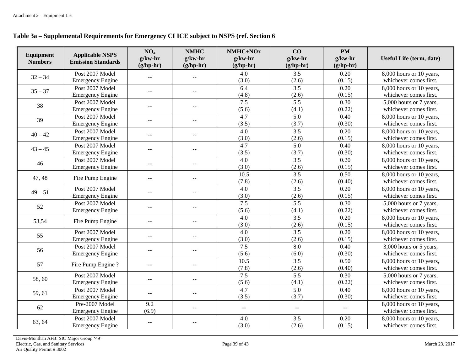### **Table 3a – Supplemental Requirements for Emergency CI ICE subject to NSPS (ref. Section 6**

| Equipment<br><b>Numbers</b> | <b>Applicable NSPS</b><br><b>Emission Standards</b> | NO <sub>x</sub><br>$g/kw-hr$<br>$(g/hp-hr)$ | <b>NMHC</b><br>$g/kw-hr$<br>$(g/hp-hr)$ | NMHC+NOx<br>$g/kw-hr$<br>$(g/hp-hr)$ | CO<br>$g/kw-hr$<br>$(g/hp-hr)$ | <b>PM</b><br>$g/kw-hr$<br>$(g/hp-hr)$ | Useful Life (term, date) |
|-----------------------------|-----------------------------------------------------|---------------------------------------------|-----------------------------------------|--------------------------------------|--------------------------------|---------------------------------------|--------------------------|
| $32 - 34$                   | Post 2007 Model                                     | $\overline{a}$                              |                                         | 4.0                                  | 3.5                            | 0.20                                  | 8,000 hours or 10 years, |
|                             | <b>Emergency Engine</b>                             |                                             | $\mathcal{L} = \mathcal{L}$             | (3.0)                                | (2.6)                          | (0.15)                                | whichever comes first.   |
| $35 - 37$                   | Post 2007 Model                                     |                                             |                                         | 6.4                                  | 3.5                            | 0.20                                  | 8,000 hours or 10 years, |
|                             | <b>Emergency Engine</b>                             | $\mathcal{L} = \mathcal{L}$                 | $-$                                     | (4.8)                                | (2.6)                          | (0.15)                                | whichever comes first.   |
| 38                          | Post 2007 Model                                     | $\overline{a}$                              | $-$                                     | 7.5                                  | 5.5                            | 0.30                                  | 5,000 hours or 7 years,  |
|                             | <b>Emergency Engine</b>                             |                                             |                                         | (5.6)                                | (4.1)                          | (0.22)                                | whichever comes first.   |
| 39                          | Post 2007 Model                                     |                                             |                                         | 4.7                                  | 5.0                            | 0.40                                  | 8,000 hours or 10 years, |
|                             | <b>Emergency Engine</b>                             | $-$                                         | $-$                                     | (3.5)                                | (3.7)                          | (0.30)                                | whichever comes first.   |
| $40 - 42$                   | Post 2007 Model                                     | $-$                                         | $- -$                                   | 4.0                                  | 3.5                            | 0.20                                  | 8,000 hours or 10 years, |
|                             | <b>Emergency Engine</b>                             |                                             |                                         | (3.0)                                | (2.6)                          | (0.15)                                | whichever comes first.   |
| $43 - 45$                   | Post 2007 Model                                     | $\sim$ $\sim$                               | $\overline{a}$                          | 4.7                                  | 5.0                            | 0.40                                  | 8,000 hours or 10 years, |
|                             | <b>Emergency Engine</b>                             |                                             |                                         | (3.5)                                | (3.7)                          | (0.30)                                | whichever comes first.   |
| 46                          | Post 2007 Model                                     | $\sim$ $\sim$                               | $\sim$ $\sim$                           | 4.0                                  | 3.5                            | 0.20                                  | 8,000 hours or 10 years, |
|                             | <b>Emergency Engine</b>                             |                                             |                                         | (3.0)                                | (2.6)                          | (0.15)                                | whichever comes first.   |
| 47, 48                      | Fire Pump Engine                                    | $\sim$                                      | $\overline{a}$                          | 10.5                                 | 3.5                            | 0.50                                  | 8,000 hours or 10 years, |
|                             |                                                     |                                             |                                         | (7.8)                                | (2.6)                          | (0.40)                                | whichever comes first.   |
| $49 - 51$                   | Post 2007 Model                                     | $\overline{\phantom{a}}$                    | $\overline{a}$                          | 4.0                                  | 3.5                            | 0.20                                  | 8,000 hours or 10 years, |
|                             | <b>Emergency Engine</b>                             |                                             |                                         | (3.0)                                | (2.6)                          | (0.15)                                | whichever comes first.   |
| 52                          | Post 2007 Model                                     | $- -$                                       | $\overline{a}$                          | 7.5                                  | 5.5                            | 0.30                                  | 5,000 hours or 7 years,  |
|                             | <b>Emergency Engine</b>                             |                                             |                                         | (5.6)                                | (4.1)                          | (0.22)                                | whichever comes first.   |
| 53,54                       | Fire Pump Engine                                    | $\overline{a}$                              | $- -$                                   | 4.0                                  | 3.5                            | 0.20                                  | 8,000 hours or 10 years, |
|                             |                                                     |                                             |                                         | (3.0)                                | (2.6)                          | (0.15)                                | whichever comes first.   |
| 55                          | Post 2007 Model                                     | $\sim$                                      | $\overline{a}$                          | 4.0                                  | 3.5                            | 0.20                                  | 8,000 hours or 10 years, |
|                             | <b>Emergency Engine</b>                             |                                             |                                         | (3.0)                                | (2.6)                          | (0.15)                                | whichever comes first.   |
| 56                          | Post 2007 Model                                     | $- -$                                       | $\overline{\phantom{m}}$                | 7.5                                  | 8.0                            | 0.40                                  | 3,000 hours or 5 years,  |
|                             | <b>Emergency Engine</b>                             |                                             |                                         | (5.6)                                | (6.0)                          | (0.30)                                | whichever comes first.   |
| 57                          | Fire Pump Engine ?                                  | $\mathbf{L}$                                | $\overline{a}$                          | 10.5                                 | 3.5                            | 0.50                                  | 8,000 hours or 10 years, |
|                             |                                                     |                                             |                                         | (7.8)                                | (2.6)                          | (0.40)                                | whichever comes first.   |
| 58,60                       | Post 2007 Model                                     | $- -$                                       | $\overline{\phantom{m}}$                | 7.5                                  | 5.5                            | 0.30                                  | 5,000 hours or 7 years,  |
|                             | <b>Emergency Engine</b>                             |                                             |                                         | (5.6)                                | (4.1)                          | (0.22)                                | whichever comes first.   |
| 59, 61                      | Post 2007 Model                                     | $\overline{\phantom{a}}$                    | $\overline{\phantom{a}}$                | $\overline{4.7}$                     | $\overline{5.0}$               | 0.40                                  | 8,000 hours or 10 years, |
|                             | <b>Emergency Engine</b>                             |                                             |                                         | (3.5)                                | (3.7)                          | (0.30)                                | whichever comes first.   |
| 62                          | Pre-2007 Model                                      | 9.2                                         | $\overline{\phantom{a}}$                | $\sim$ $\sim$                        | $\sim$ $\sim$                  | $\mathbf{u}$                          | 8,000 hours or 10 years, |
|                             | <b>Emergency Engine</b>                             | (6.9)                                       |                                         |                                      |                                |                                       | whichever comes first.   |
| 63, 64                      | Post 2007 Model                                     | $-$                                         | $-$                                     | 4.0                                  | 3.5                            | 0.20                                  | 8,000 hours or 10 years, |
|                             | <b>Emergency Engine</b>                             |                                             |                                         | (3.0)                                | (2.6)                          | (0.15)                                | whichever comes first.   |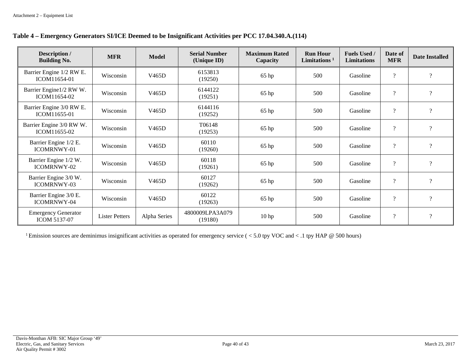|  | Table 4 – Emergency Generators SI/ICE Deemed to be Insignificant Activities per PCC 17.04.340.A.(114) |  |
|--|-------------------------------------------------------------------------------------------------------|--|
|  |                                                                                                       |  |

| Description /<br><b>Building No.</b>              | <b>MFR</b>            | <b>Model</b>       | <b>Serial Number</b><br>(Unique ID) | <b>Maximum Rated</b><br>Capacity | <b>Run Hour</b><br>Limitations $1$ | <b>Fuels Used /</b><br><b>Limitations</b> | Date of<br><b>MFR</b>      | <b>Date Installed</b>    |
|---------------------------------------------------|-----------------------|--------------------|-------------------------------------|----------------------------------|------------------------------------|-------------------------------------------|----------------------------|--------------------------|
| Barrier Engine 1/2 RW E.<br>ICOM11654-01          | Wisconsin             | V465D              | 6153813<br>(19250)                  | $65$ hp                          | 500                                | Gasoline                                  | $\boldsymbol{\mathcal{P}}$ | $\overline{?}$           |
| Barrier Engine1/2 RW W.<br>ICOM11654-02           | Wisconsin             | V465D              | 6144122<br>(19251)                  | 65 hp                            | 500                                | Gasoline                                  | $\overline{\cdot}$         | $\overline{\mathcal{L}}$ |
| Barrier Engine 3/0 RW E.<br>ICOM11655-01          | Wisconsin             | V465D              | 6144116<br>(19252)                  | 65 hp                            | 500                                | Gasoline                                  | $\boldsymbol{\mathcal{P}}$ | $\overline{?}$           |
| Barrier Engine 3/0 RW W.<br>ICOM11655-02          | Wisconsin             | V465D              | T06148<br>(19253)                   | $65$ hp                          | 500                                | Gasoline                                  | $\overline{\mathcal{L}}$   | $\gamma$                 |
| Barrier Engine 1/2 E.<br>ICOMRNWY-01              | Wisconsin             | V465D              | 60110<br>(19260)                    | $65$ hp                          | 500                                | Gasoline                                  | $\overline{\cdot}$         | $\overline{?}$           |
| Barrier Engine 1/2 W.<br><b>ICOMRNWY-02</b>       | Wisconsin             | V465D              | 60118<br>(19261)                    | 65 hp                            | 500                                | Gasoline                                  | $\boldsymbol{\mathcal{P}}$ | $\gamma$                 |
| Barrier Engine 3/0 W.<br>ICOMRNWY-03              | Wisconsin             | V465D              | 60127<br>(19262)                    | $65$ hp                          | 500                                | Gasoline                                  | $\boldsymbol{\mathcal{P}}$ | $\overline{?}$           |
| Barrier Engine 3/0 E.<br><b>ICOMRNWY-04</b>       | Wisconsin             | V <sub>465</sub> D | 60122<br>(19263)                    | $65$ hp                          | 500                                | Gasoline                                  | $\overline{\cdot}$         | $\overline{?}$           |
| <b>Emergency Generator</b><br><b>ICOM 5137-07</b> | <b>Lister Petters</b> | Alpha Series       | 4800009LPA3A079<br>(19180)          | 10 <sub>hp</sub>                 | 500                                | Gasoline                                  | $\boldsymbol{\mathcal{P}}$ | $\overline{?}$           |

<sup>1</sup> Emission sources are deminimus insignificant activities as operated for emergency service ( $<$  5.0 tpy VOC and  $<$  .1 tpy HAP @ 500 hours)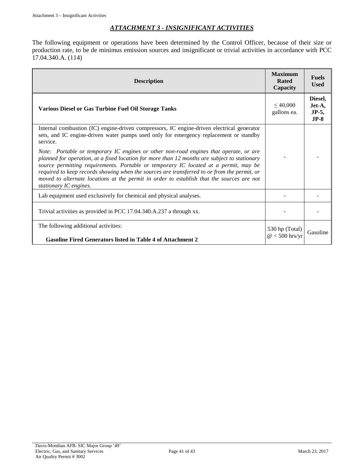### *ATTACHMENT 3 - INSIGNIFICANT ACTIVITIES*

The following equipment or operations have been determined by the Control Officer, because of their size or production rate, to be de minimus emission sources and insignificant or trivial activities in accordance with PCC 17.04.340.A. (114)

| <b>Description</b>                                                                                                                                                                                                                                                                                                                                                                                                                                                                                  | <b>Maximum</b><br>Rated<br>Capacity | <b>Fuels</b><br><b>Used</b>             |
|-----------------------------------------------------------------------------------------------------------------------------------------------------------------------------------------------------------------------------------------------------------------------------------------------------------------------------------------------------------------------------------------------------------------------------------------------------------------------------------------------------|-------------------------------------|-----------------------------------------|
| <b>Various Diesel or Gas Turbine Fuel Oil Storage Tanks</b>                                                                                                                                                                                                                                                                                                                                                                                                                                         | $\leq 40,000$<br>gallons ea.        | Diesel,<br>Jet-A,<br>$JP-5$ ,<br>$JP-8$ |
| Internal combustion (IC) engine-driven compressors, IC engine-driven electrical generator<br>sets, and IC engine-driven water pumps used only for emergency replacement or standby<br>service.                                                                                                                                                                                                                                                                                                      |                                     |                                         |
| Note: Portable or temporary IC engines or other non-road engines that operate, or are<br>planned for operation, at a fixed location for more than 12 months are subject to stationary<br>source permitting requirements. Portable or temporary IC located at a permit, may be<br>required to keep records showing when the sources are transferred to or from the permit, or<br>moved to alternate locations at the permit in order to establish that the sources are not<br>stationary IC engines. |                                     |                                         |
| Lab equipment used exclusively for chemical and physical analyses.                                                                                                                                                                                                                                                                                                                                                                                                                                  |                                     |                                         |
| Trivial activities as provided in PCC 17.04.340.A.237 a through xx.                                                                                                                                                                                                                                                                                                                                                                                                                                 |                                     |                                         |
| The following additional activities:<br><b>Gasoline Fired Generators listed in Table 4 of Attachment 2</b>                                                                                                                                                                                                                                                                                                                                                                                          | 530 hp (Total)<br>$@<500$ hrs/yr    | Gasoline                                |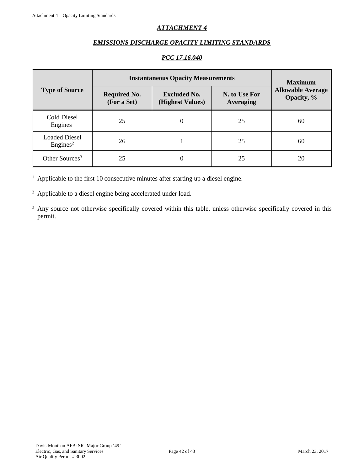# *ATTACHMENT 4*

### *EMISSIONS DISCHARGE OPACITY LIMITING STANDARDS*

### *PCC 17.16.040*

|                                              | <b>Instantaneous Opacity Measurements</b>                                                                          | <b>Maximum</b> |                                        |    |
|----------------------------------------------|--------------------------------------------------------------------------------------------------------------------|----------------|----------------------------------------|----|
| <b>Type of Source</b>                        | N. to Use For<br><b>Required No.</b><br><b>Excluded No.</b><br>(For a Set)<br>(Highest Values)<br><b>Averaging</b> |                | <b>Allowable Average</b><br>Opacity, % |    |
| Cold Diesel<br>Engines <sup>1</sup>          | 25                                                                                                                 | $\theta$       | 25                                     | 60 |
| <b>Loaded Diesel</b><br>Engines <sup>2</sup> | 26                                                                                                                 |                | 25                                     | 60 |
| Other Sources <sup>3</sup>                   | 25                                                                                                                 |                | 25                                     | 20 |

 $1$  Applicable to the first 10 consecutive minutes after starting up a diesel engine.

<sup>2</sup> Applicable to a diesel engine being accelerated under load.

<sup>3</sup> Any source not otherwise specifically covered within this table, unless otherwise specifically covered in this permit.